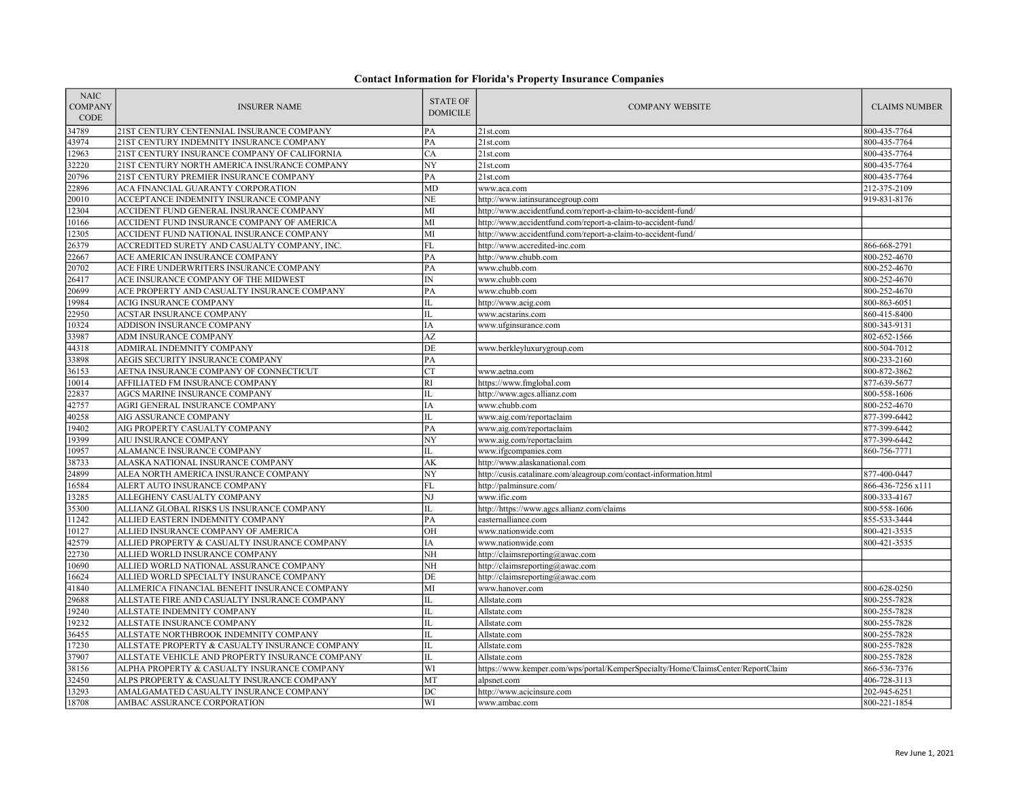| <b>NAIC</b><br><b>COMPANY</b><br>CODE | <b>INSURER NAME</b>                             | <b>STATE OF</b><br><b>DOMICILE</b> | <b>COMPANY WEBSITE</b>                                                          | <b>CLAIMS NUMBER</b> |
|---------------------------------------|-------------------------------------------------|------------------------------------|---------------------------------------------------------------------------------|----------------------|
| 34789                                 | 21ST CENTURY CENTENNIAL INSURANCE COMPANY       | PA                                 | 21st.com                                                                        | 800-435-7764         |
| 43974                                 | 21ST CENTURY INDEMNITY INSURANCE COMPANY        | PA                                 | 21st.com                                                                        | 800-435-7764         |
| 12963                                 | 21ST CENTURY INSURANCE COMPANY OF CALIFORNIA    | CA                                 | 21st.com                                                                        | 800-435-7764         |
| 32220                                 | 21ST CENTURY NORTH AMERICA INSURANCE COMPANY    | NY                                 | 21st.com                                                                        | 800-435-7764         |
| 20796                                 | 21ST CENTURY PREMIER INSURANCE COMPANY          | PA                                 | 21st.com                                                                        | 800-435-7764         |
| 22896                                 | ACA FINANCIAL GUARANTY CORPORATION              | MD                                 | www.aca.com                                                                     | 212-375-2109         |
| 20010                                 | ACCEPTANCE INDEMNITY INSURANCE COMPANY          | <b>NE</b>                          | http://www.iatinsurancegroup.com                                                | 919-831-8176         |
| 12304                                 | ACCIDENT FUND GENERAL INSURANCE COMPANY         | MI                                 | http://www.accidentfund.com/report-a-claim-to-accident-fund/                    |                      |
| 10166                                 | ACCIDENT FUND INSURANCE COMPANY OF AMERICA      | MI                                 | http://www.accidentfund.com/report-a-claim-to-accident-fund/                    |                      |
| 12305                                 | ACCIDENT FUND NATIONAL INSURANCE COMPANY        | MI                                 | http://www.accidentfund.com/report-a-claim-to-accident-fund/                    |                      |
| 26379                                 | ACCREDITED SURETY AND CASUALTY COMPANY, INC.    | ${\rm FL}$                         | http://www.accredited-inc.com                                                   | 866-668-2791         |
| 22667                                 | ACE AMERICAN INSURANCE COMPANY                  | PA                                 | http://www.chubb.com                                                            | 800-252-4670         |
| 20702                                 | ACE FIRE UNDERWRITERS INSURANCE COMPANY         | PA                                 | www.chubb.com                                                                   | 800-252-4670         |
| 26417                                 | ACE INSURANCE COMPANY OF THE MIDWEST            | IN                                 | www.chubb.com                                                                   | 800-252-4670         |
| 20699                                 | ACE PROPERTY AND CASUALTY INSURANCE COMPANY     | PA                                 | www.chubb.com                                                                   | 800-252-4670         |
| 19984                                 | ACIG INSURANCE COMPANY                          | IL                                 | http://www.acig.com                                                             | 800-863-6051         |
| 22950                                 | <b>ACSTAR INSURANCE COMPANY</b>                 | IL                                 | www.acstarins.com                                                               | 860-415-8400         |
| 10324                                 | ADDISON INSURANCE COMPANY                       | IA                                 | www.ufginsurance.com                                                            | 800-343-9131         |
| 33987                                 | ADM INSURANCE COMPANY                           | AZ                                 |                                                                                 | 802-652-1566         |
| 44318                                 | ADMIRAL INDEMNITY COMPANY                       | DE                                 | www.berkleyluxurygroup.com                                                      | 800-504-7012         |
| 33898                                 | AEGIS SECURITY INSURANCE COMPANY                | PA                                 |                                                                                 | 800-233-2160         |
| 36153                                 | AETNA INSURANCE COMPANY OF CONNECTICUT          | <b>CT</b>                          | www.aetna.com                                                                   | 800-872-3862         |
| 10014                                 | AFFILIATED FM INSURANCE COMPANY                 | RI                                 | https://www.fmglobal.com                                                        | 877-639-5677         |
| 22837                                 | AGCS MARINE INSURANCE COMPANY                   | IL                                 | http://www.agcs.allianz.com                                                     | 800-558-1606         |
| 42757                                 | AGRI GENERAL INSURANCE COMPANY                  | IA                                 | www.chubb.com                                                                   | 800-252-4670         |
| 40258                                 | AIG ASSURANCE COMPANY                           | IL                                 | www.aig.com/reportaclaim                                                        | 877-399-6442         |
| 19402                                 | AIG PROPERTY CASUALTY COMPANY                   | PA                                 | www.aig.com/reportaclaim                                                        | 877-399-6442         |
| 19399                                 | AIU INSURANCE COMPANY                           | N <sub>Y</sub>                     | www.aig.com/reportaclaim                                                        | 877-399-6442         |
| 10957                                 | ALAMANCE INSURANCE COMPANY                      | IL                                 | www.ifgcompanies.com                                                            | 860-756-7771         |
| 38733                                 | ALASKA NATIONAL INSURANCE COMPANY               | AK                                 | http://www.alaskanational.com                                                   |                      |
| 24899                                 | ALEA NORTH AMERICA INSURANCE COMPANY            | $\overline{NY}$                    | http://cusis.catalinare.com/aleagroup.com/contact-information.html              | 877-400-0447         |
| 16584                                 | ALERT AUTO INSURANCE COMPANY                    | FL                                 | http://palminsure.com/                                                          | 866-436-7256 x111    |
| 13285                                 | ALLEGHENY CASUALTY COMPANY                      | NJ                                 | www.ific.com                                                                    | 800-333-4167         |
| 35300                                 | ALLIANZ GLOBAL RISKS US INSURANCE COMPANY       | $\rm IL$                           | http://https://www.agcs.allianz.com/claims                                      | 800-558-1606         |
| 11242                                 | ALLIED EASTERN INDEMNITY COMPANY                | PA                                 | easternalliance.com                                                             | 855-533-3444         |
| 10127                                 | ALLIED INSURANCE COMPANY OF AMERICA             | OH                                 | www.nationwide.com                                                              | 800-421-3535         |
| 42579                                 | ALLIED PROPERTY & CASUALTY INSURANCE COMPANY    | IA                                 | www.nationwide.com                                                              | 800-421-3535         |
| 22730                                 | ALLIED WORLD INSURANCE COMPANY                  | NH                                 | http://claimsreporting@awac.com                                                 |                      |
| 10690                                 | ALLIED WORLD NATIONAL ASSURANCE COMPANY         | NH                                 | http://claimsreporting@awac.com                                                 |                      |
| 16624                                 | ALLIED WORLD SPECIALTY INSURANCE COMPANY        | DE                                 | http://claimsreporting@awac.com                                                 |                      |
| 41840                                 | ALLMERICA FINANCIAL BENEFIT INSURANCE COMPANY   | MI                                 | www.hanover.com                                                                 | 800-628-0250         |
| 29688                                 | ALLSTATE FIRE AND CASUALTY INSURANCE COMPANY    | $\rm IL$                           | Allstate.com                                                                    | 800-255-7828         |
| 19240                                 | ALLSTATE INDEMNITY COMPANY                      | IL                                 | Allstate.com                                                                    | 800-255-7828         |
| 19232                                 | ALLSTATE INSURANCE COMPANY                      | IL                                 | Allstate.com                                                                    | 800-255-7828         |
| 36455                                 | ALLSTATE NORTHBROOK INDEMNITY COMPANY           | IL                                 | Allstate.com                                                                    | 800-255-7828         |
| 17230                                 | ALLSTATE PROPERTY & CASUALTY INSURANCE COMPANY  | IL                                 | Allstate.com                                                                    | 800-255-7828         |
| 37907                                 | ALLSTATE VEHICLE AND PROPERTY INSURANCE COMPANY | $\rm IL$                           | Allstate.com                                                                    | 800-255-7828         |
| 38156                                 | ALPHA PROPERTY & CASUALTY INSURANCE COMPANY     | WI                                 | https://www.kemper.com/wps/portal/KemperSpecialty/Home/ClaimsCenter/ReportClaim | 866-536-7376         |
| 32450                                 | ALPS PROPERTY & CASUALTY INSURANCE COMPANY      | MT                                 | alpsnet.com                                                                     | 406-728-3113         |
| 13293                                 | AMALGAMATED CASUALTY INSURANCE COMPANY          | DC                                 | http://www.acicinsure.com                                                       | 202-945-6251         |
| 18708                                 | AMBAC ASSURANCE CORPORATION                     | WI                                 | www.ambac.com                                                                   | 800-221-1854         |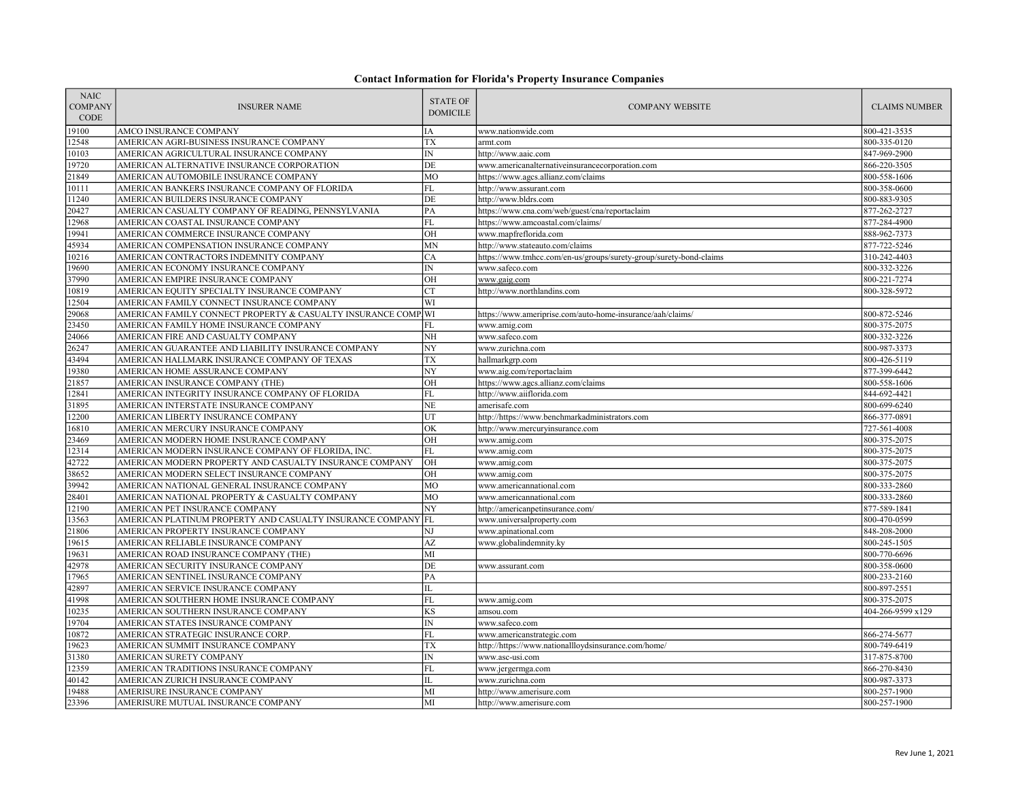| <b>NAIC</b><br><b>COMPANY</b><br>CODE | <b>INSURER NAME</b>                                           | <b>STATE OF</b><br><b>DOMICILE</b> | <b>COMPANY WEBSITE</b>                                             | <b>CLAIMS NUMBER</b> |
|---------------------------------------|---------------------------------------------------------------|------------------------------------|--------------------------------------------------------------------|----------------------|
| 19100                                 | AMCO INSURANCE COMPANY                                        | IΑ                                 | www.nationwide.com                                                 | 800-421-3535         |
| 12548                                 | AMERICAN AGRI-BUSINESS INSURANCE COMPANY                      | TX                                 | armt.com                                                           | 800-335-0120         |
| 10103                                 | AMERICAN AGRICULTURAL INSURANCE COMPANY                       | $\ensuremath{\text{IN}}$           | http://www.aaic.com                                                | 847-969-2900         |
| 19720                                 | AMERICAN ALTERNATIVE INSURANCE CORPORATION                    | DE                                 | www.americanalternativeinsurancecorporation.com                    | 866-220-3505         |
| 21849                                 | AMERICAN AUTOMOBILE INSURANCE COMPANY                         | MO                                 | https://www.agcs.allianz.com/claims                                | 800-558-1606         |
| 10111                                 | AMERICAN BANKERS INSURANCE COMPANY OF FLORIDA                 | <b>FL</b>                          | http://www.assurant.com                                            | 800-358-0600         |
| 11240                                 | AMERICAN BUILDERS INSURANCE COMPANY                           | DE                                 | http://www.bldrs.com                                               | 800-883-9305         |
| 20427                                 | AMERICAN CASUALTY COMPANY OF READING, PENNSYLVANIA            | PA                                 | https://www.cna.com/web/guest/cna/reportaclaim                     | 877-262-2727         |
| 12968                                 | AMERICAN COASTAL INSURANCE COMPANY                            | FL                                 | https://www.amcoastal.com/claims/                                  | 877-284-4900         |
| 19941                                 | AMERICAN COMMERCE INSURANCE COMPANY                           | OH                                 | www.mapfreflorida.com                                              | 888-962-7373         |
| 45934                                 | AMERICAN COMPENSATION INSURANCE COMPANY                       | MN                                 | http://www.stateauto.com/claims                                    | 877-722-5246         |
| 10216                                 | AMERICAN CONTRACTORS INDEMNITY COMPANY                        | CA                                 | https://www.tmhcc.com/en-us/groups/surety-group/surety-bond-claims | 310-242-4403         |
| 19690                                 | AMERICAN ECONOMY INSURANCE COMPANY                            | $\overline{\rm IN}$                | www.safeco.com                                                     | 800-332-3226         |
| 37990                                 | AMERICAN EMPIRE INSURANCE COMPANY                             | OH                                 | www.gaig.com                                                       | 800-221-7274         |
| 10819                                 | AMERICAN EQUITY SPECIALTY INSURANCE COMPANY                   | CT                                 | http://www.northlandins.com                                        | 800-328-5972         |
| 12504                                 | AMERICAN FAMILY CONNECT INSURANCE COMPANY                     | WI                                 |                                                                    |                      |
| 29068                                 | AMERICAN FAMILY CONNECT PROPERTY & CASUALTY INSURANCE COMP WI |                                    | https://www.ameriprise.com/auto-home-insurance/aah/claims/         | 800-872-5246         |
| 23450                                 | AMERICAN FAMILY HOME INSURANCE COMPANY                        | FL                                 | www.amig.com                                                       | 800-375-2075         |
| 24066                                 | AMERICAN FIRE AND CASUALTY COMPANY                            | NH                                 | www.safeco.com                                                     | 800-332-3226         |
| 26247                                 | AMERICAN GUARANTEE AND LIABILITY INSURANCE COMPANY            | NY                                 | www.zurichna.com                                                   | 800-987-3373         |
| 43494                                 | AMERICAN HALLMARK INSURANCE COMPANY OF TEXAS                  | TX                                 | hallmarkgrp.com                                                    | 800-426-5119         |
| 19380                                 | AMERICAN HOME ASSURANCE COMPANY                               | NY                                 | www.aig.com/reportaclaim                                           | 877-399-6442         |
| 21857                                 | AMERICAN INSURANCE COMPANY (THE)                              | OH                                 | https://www.agcs.allianz.com/claims                                | 800-558-1606         |
| 12841                                 | AMERICAN INTEGRITY INSURANCE COMPANY OF FLORIDA               | FL                                 | http://www.aiiflorida.com                                          | 844-692-4421         |
| 31895                                 | AMERICAN INTERSTATE INSURANCE COMPANY                         | <b>NE</b>                          | amerisafe.com                                                      | 800-699-6240         |
| 12200                                 | AMERICAN LIBERTY INSURANCE COMPANY                            | UT                                 | http://https://www.benchmarkadministrators.com                     | 866-377-0891         |
| 16810                                 | AMERICAN MERCURY INSURANCE COMPANY                            | OK                                 | http://www.mercuryinsurance.com                                    | 727-561-4008         |
| 23469                                 | AMERICAN MODERN HOME INSURANCE COMPANY                        | OH                                 | www.amig.com                                                       | 800-375-2075         |
| 12314                                 | AMERICAN MODERN INSURANCE COMPANY OF FLORIDA, INC.            | FL                                 | www.amig.com                                                       | 800-375-2075         |
| 42722                                 | AMERICAN MODERN PROPERTY AND CASUALTY INSURANCE COMPANY       | OH                                 | www.amig.com                                                       | 800-375-2075         |
| 38652                                 | AMERICAN MODERN SELECT INSURANCE COMPANY                      | OH                                 | www.amig.com                                                       | 800-375-2075         |
| 39942                                 | AMERICAN NATIONAL GENERAL INSURANCE COMPANY                   | МO                                 | www.americannational.com                                           | 800-333-2860         |
| 28401                                 | AMERICAN NATIONAL PROPERTY & CASUALTY COMPANY                 | MO                                 | www.americannational.com                                           | 800-333-2860         |
| 12190                                 | AMERICAN PET INSURANCE COMPANY                                | NY                                 | http://americanpetinsurance.com/                                   | 877-589-1841         |
| 13563                                 | AMERICAN PLATINUM PROPERTY AND CASUALTY INSURANCE COMPANY FL  |                                    | www.universalproperty.com                                          | 800-470-0599         |
| 21806                                 | AMERICAN PROPERTY INSURANCE COMPANY                           | NJ                                 | www.apinational.com                                                | 848-208-2000         |
| 19615                                 | AMERICAN RELIABLE INSURANCE COMPANY                           | AZ                                 | www.globalindemnity.ky                                             | 800-245-1505         |
| 19631                                 | AMERICAN ROAD INSURANCE COMPANY (THE)                         | MI                                 |                                                                    | 800-770-6696         |
| 42978                                 | AMERICAN SECURITY INSURANCE COMPANY                           | DE                                 | www.assurant.com                                                   | 800-358-0600         |
| 17965                                 | AMERICAN SENTINEL INSURANCE COMPANY                           | PA                                 |                                                                    | 800-233-2160         |
| 42897                                 | AMERICAN SERVICE INSURANCE COMPANY                            | IL                                 |                                                                    | 800-897-2551         |
| 41998                                 | AMERICAN SOUTHERN HOME INSURANCE COMPANY                      | <b>FL</b>                          | www.amig.com                                                       | 800-375-2075         |
| 10235                                 | AMERICAN SOUTHERN INSURANCE COMPANY                           | KS                                 | amsou.com                                                          | 404-266-9599 x129    |
| 19704                                 | AMERICAN STATES INSURANCE COMPANY                             | IN                                 | www.safeco.com                                                     |                      |
| 10872                                 | AMERICAN STRATEGIC INSURANCE CORP.                            | FL                                 | www.americanstrategic.com                                          | 866-274-5677         |
| 19623                                 | AMERICAN SUMMIT INSURANCE COMPANY                             | TX                                 | http://https://www.nationallloydsinsurance.com/home/               | 800-749-6419         |
| 31380                                 | AMERICAN SURETY COMPANY                                       | IN                                 | www.asc-usi.com                                                    | 317-875-8700         |
| 12359                                 | AMERICAN TRADITIONS INSURANCE COMPANY                         | <b>FL</b>                          | www.jergermga.com                                                  | 866-270-8430         |
| 40142                                 | AMERICAN ZURICH INSURANCE COMPANY                             | IL                                 | www.zurichna.com                                                   | 800-987-3373         |
| 19488                                 | AMERISURE INSURANCE COMPANY                                   | MI                                 | http://www.amerisure.com                                           | 800-257-1900         |
| 23396                                 | AMERISURE MUTUAL INSURANCE COMPANY                            | MI                                 | http://www.amerisure.com                                           | 800-257-1900         |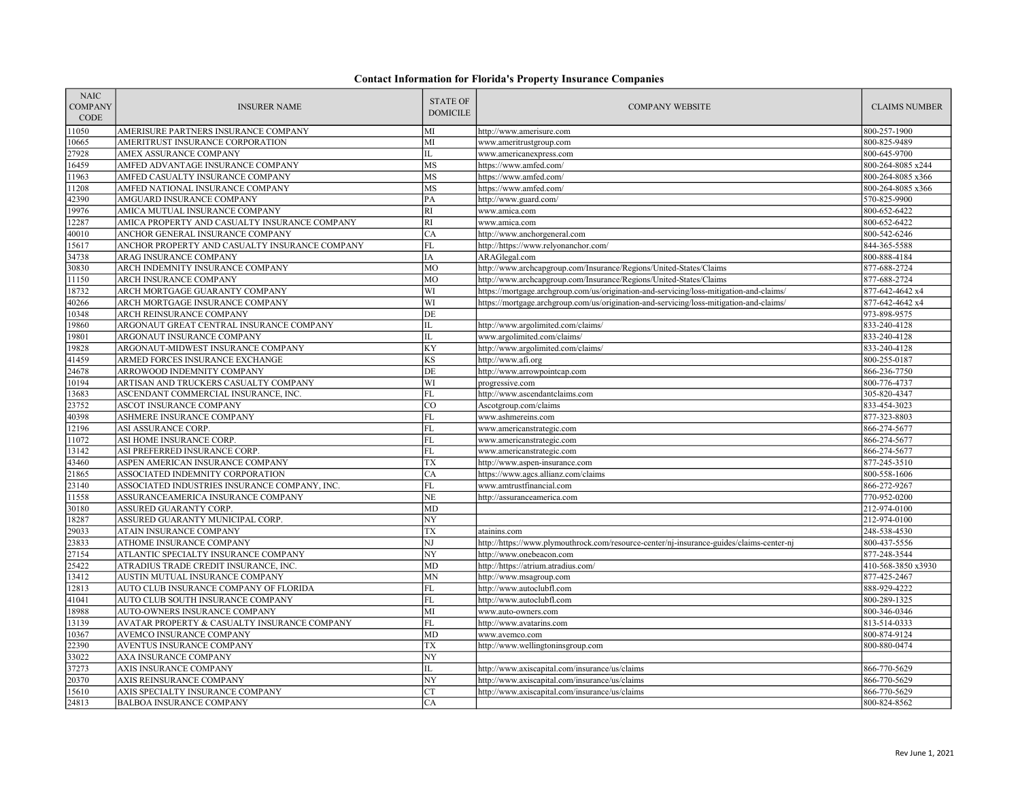| <b>NAIC</b><br><b>COMPANY</b><br>CODE | <b>INSURER NAME</b>                            | <b>STATE OF</b><br><b>DOMICILE</b> | <b>COMPANY WEBSITE</b>                                                                   | <b>CLAIMS NUMBER</b> |
|---------------------------------------|------------------------------------------------|------------------------------------|------------------------------------------------------------------------------------------|----------------------|
| 11050                                 | AMERISURE PARTNERS INSURANCE COMPANY           | MI                                 | http://www.amerisure.com                                                                 | 800-257-1900         |
| 10665                                 | AMERITRUST INSURANCE CORPORATION               | MI                                 | www.ameritrustgroup.com                                                                  | 800-825-9489         |
| 27928                                 | AMEX ASSURANCE COMPANY                         | IL                                 | www.americanexpress.com                                                                  | 800-645-9700         |
| 16459                                 | AMFED ADVANTAGE INSURANCE COMPANY              | MS                                 | https://www.amfed.com/                                                                   | 800-264-8085 x244    |
| 11963                                 | AMFED CASUALTY INSURANCE COMPANY               | MS                                 | https://www.amfed.com/                                                                   | 800-264-8085 x366    |
| 11208                                 | AMFED NATIONAL INSURANCE COMPANY               | MS                                 | https://www.amfed.com/                                                                   | 800-264-8085 x366    |
| 42390                                 | AMGUARD INSURANCE COMPANY                      | PA                                 | http://www.guard.com/                                                                    | 570-825-9900         |
| 19976                                 | AMICA MUTUAL INSURANCE COMPANY                 | RI                                 | www.amica.com                                                                            | 800-652-6422         |
| 12287                                 | AMICA PROPERTY AND CASUALTY INSURANCE COMPANY  | RI                                 | www.amica.com                                                                            | 800-652-6422         |
| 40010                                 | ANCHOR GENERAL INSURANCE COMPANY               | <b>CA</b>                          | http://www.anchorgeneral.com                                                             | 800-542-6246         |
| 15617                                 | ANCHOR PROPERTY AND CASUALTY INSURANCE COMPANY | FL                                 | http://https://www.relyonanchor.com/                                                     | 844-365-5588         |
| 34738                                 | ARAG INSURANCE COMPANY                         | IA                                 | ARAGlegal.com                                                                            | 800-888-4184         |
| 30830                                 | ARCH INDEMNITY INSURANCE COMPANY               | MO                                 | http://www.archcapgroup.com/Insurance/Regions/United-States/Claims                       | 877-688-2724         |
| 11150                                 | ARCH INSURANCE COMPANY                         | MO                                 | http://www.archcapgroup.com/Insurance/Regions/United-States/Claims                       | 877-688-2724         |
| 18732                                 | ARCH MORTGAGE GUARANTY COMPANY                 | WI                                 | https://mortgage.archgroup.com/us/origination-and-servicing/loss-mitigation-and-claims/  | 877-642-4642 x4      |
| 40266                                 | ARCH MORTGAGE INSURANCE COMPANY                | WI                                 | https://mortgage.archgroup.com/us/origination-and-servicing/loss-mitigation-and-claims/  | 877-642-4642 x4      |
| 10348                                 | ARCH REINSURANCE COMPANY                       | DE                                 |                                                                                          | 973-898-9575         |
| 19860                                 | ARGONAUT GREAT CENTRAL INSURANCE COMPANY       | IL                                 | http://www.argolimited.com/claims/                                                       | 833-240-4128         |
| 19801                                 | ARGONAUT INSURANCE COMPANY                     | IL                                 | www.argolimited.com/claims/                                                              | 833-240-4128         |
| 19828                                 | ARGONAUT-MIDWEST INSURANCE COMPANY             | KY                                 | http://www.argolimited.com/claims/                                                       | 833-240-4128         |
| 41459                                 | ARMED FORCES INSURANCE EXCHANGE                | KS                                 | http://www.afi.org                                                                       | 800-255-0187         |
| 24678                                 | ARROWOOD INDEMNITY COMPANY                     | DE                                 | http://www.arrowpointcap.com                                                             | 866-236-7750         |
| 10194                                 | ARTISAN AND TRUCKERS CASUALTY COMPANY          | WI                                 | progressive.com                                                                          | 800-776-4737         |
| 13683                                 | ASCENDANT COMMERCIAL INSURANCE, INC.           | FL                                 | http://www.ascendantclaims.com                                                           | 305-820-4347         |
| 23752                                 | ASCOT INSURANCE COMPANY                        | lco                                | Ascotgroup.com/claims                                                                    | 833-454-3023         |
| 40398                                 | ASHMERE INSURANCE COMPANY                      | FL                                 | www.ashmereins.com                                                                       | 877-323-8803         |
| 12196                                 | ASI ASSURANCE CORP.                            | FL                                 | www.americanstrategic.com                                                                | 866-274-5677         |
| 11072                                 | ASI HOME INSURANCE CORP.                       | FL                                 | www.americanstrategic.com                                                                | 866-274-5677         |
| 13142                                 | ASI PREFERRED INSURANCE CORP.                  | FL                                 | www.americanstrategic.com                                                                | 866-274-5677         |
| 43460                                 | ASPEN AMERICAN INSURANCE COMPANY               | TX                                 | http://www.aspen-insurance.com                                                           | 877-245-3510         |
| 21865                                 | ASSOCIATED INDEMNITY CORPORATION               | <b>CA</b>                          | https://www.agcs.allianz.com/claims                                                      | 800-558-1606         |
| 23140                                 | ASSOCIATED INDUSTRIES INSURANCE COMPANY, INC.  | FL                                 | www.amtrustfinancial.com                                                                 | 866-272-9267         |
| 11558                                 | ASSURANCEAMERICA INSURANCE COMPANY             | <b>NE</b>                          | http://assuranceamerica.com                                                              | 770-952-0200         |
| 30180                                 | ASSURED GUARANTY CORP.                         | <b>MD</b>                          |                                                                                          | 212-974-0100         |
| 18287                                 | ASSURED GUARANTY MUNICIPAL CORP.               | NY                                 |                                                                                          | 212-974-0100         |
| 29033                                 | ATAIN INSURANCE COMPANY                        | TX                                 | atainins.com                                                                             | 248-538-4530         |
| 23833                                 | ATHOME INSURANCE COMPANY                       | $_{\rm NJ}$                        | http://https://www.plymouthrock.com/resource-center/nj-insurance-guides/claims-center-nj | 800-437-5556         |
| 27154                                 | ATLANTIC SPECIALTY INSURANCE COMPANY           | NY                                 | http://www.onebeacon.com                                                                 | 877-248-3544         |
| 25422                                 | ATRADIUS TRADE CREDIT INSURANCE, INC.          | <b>MD</b>                          | http://https://atrium.atradius.com/                                                      | 410-568-3850 x3930   |
| 13412                                 | AUSTIN MUTUAL INSURANCE COMPANY                | MN                                 | http://www.msagroup.com                                                                  | 877-425-2467         |
| 12813                                 | AUTO CLUB INSURANCE COMPANY OF FLORIDA         | ${\rm FL}$                         | http://www.autoclubfl.com                                                                | 888-929-4222         |
| 41041                                 | AUTO CLUB SOUTH INSURANCE COMPANY              | FL                                 | http://www.autoclubfl.com                                                                | 800-289-1325         |
| 18988                                 | AUTO-OWNERS INSURANCE COMPANY                  | $\overline{MI}$                    | www.auto-owners.com                                                                      | 800-346-0346         |
| 13139                                 | AVATAR PROPERTY & CASUALTY INSURANCE COMPANY   | FL                                 | http://www.avatarins.com                                                                 | 813-514-0333         |
| 10367                                 | AVEMCO INSURANCE COMPANY                       | MD                                 | www.avemco.com                                                                           | 800-874-9124         |
| 22390                                 | AVENTUS INSURANCE COMPANY                      | <b>TX</b>                          | http://www.wellingtoninsgroup.com                                                        | 800-880-0474         |
| 33022                                 | AXA INSURANCE COMPANY                          | NY                                 |                                                                                          |                      |
| 37273                                 | AXIS INSURANCE COMPANY                         | IL                                 | http://www.axiscapital.com/insurance/us/claims                                           | 866-770-5629         |
| 20370                                 | AXIS REINSURANCE COMPANY                       | NY                                 | http://www.axiscapital.com/insurance/us/claims                                           | 866-770-5629         |
| 15610                                 | AXIS SPECIALTY INSURANCE COMPANY               | <b>CT</b>                          | http://www.axiscapital.com/insurance/us/claims                                           | 866-770-5629         |
| 24813                                 | <b>BALBOA INSURANCE COMPANY</b>                | CA                                 |                                                                                          | 800-824-8562         |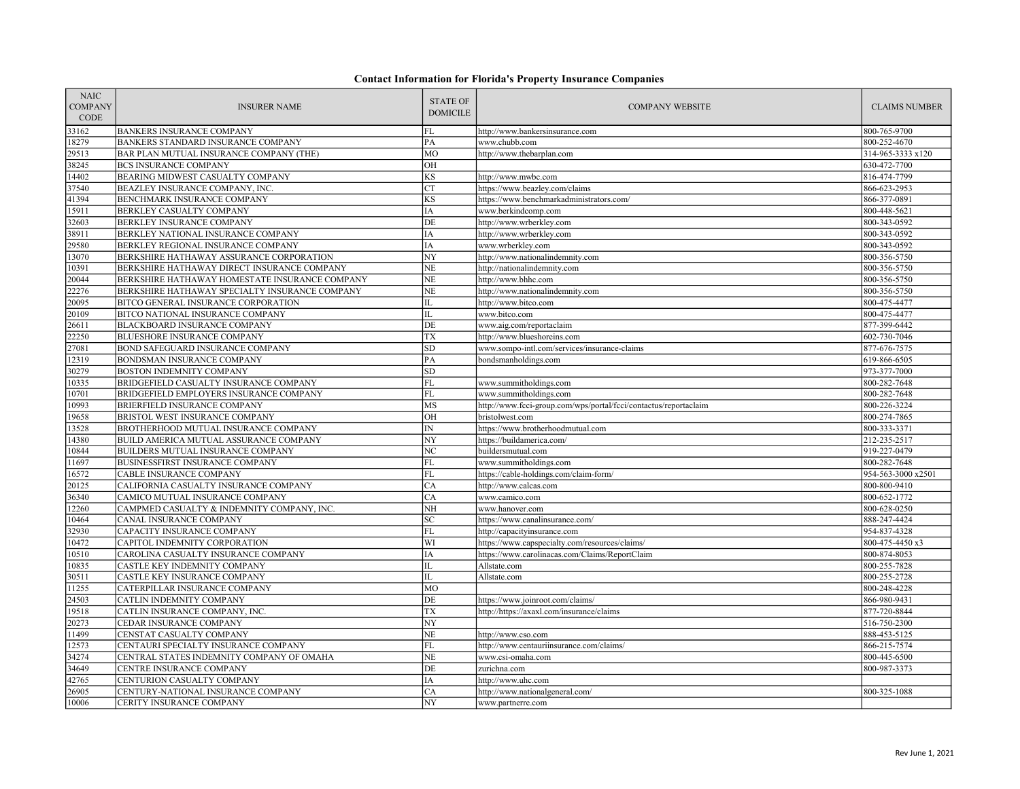| <b>NAIC</b><br><b>COMPANY</b><br><b>CODE</b> | <b>INSURER NAME</b>                                                 | <b>STATE OF</b><br><b>DOMICILE</b> | <b>COMPANY WEBSITE</b>                                           | <b>CLAIMS NUMBER</b>         |
|----------------------------------------------|---------------------------------------------------------------------|------------------------------------|------------------------------------------------------------------|------------------------------|
| 33162                                        | <b>BANKERS INSURANCE COMPANY</b>                                    | FL                                 | http://www.bankersinsurance.com                                  | 800-765-9700                 |
| 18279                                        | BANKERS STANDARD INSURANCE COMPANY                                  | PA                                 | www.chubb.com                                                    | 800-252-4670                 |
| 29513                                        | BAR PLAN MUTUAL INSURANCE COMPANY (THE)                             | MO                                 | http://www.thebarplan.com                                        | 314-965-3333 x120            |
| 38245                                        | <b>BCS INSURANCE COMPANY</b>                                        | OH                                 |                                                                  | 630-472-7700                 |
| 14402                                        | <b>BEARING MIDWEST CASUALTY COMPANY</b>                             | $\overline{\text{KS}}$             | http://www.mwbc.com                                              | 816-474-7799                 |
| 37540                                        | BEAZLEY INSURANCE COMPANY, INC.                                     | <b>CT</b>                          | https://www.beazley.com/claims                                   | 866-623-2953                 |
| 41394                                        | BENCHMARK INSURANCE COMPANY                                         | KS                                 | https://www.benchmarkadministrators.com/                         | 866-377-0891                 |
| 15911                                        | BERKLEY CASUALTY COMPANY                                            | IA                                 | www.berkindcomp.com                                              | 800-448-5621                 |
| 32603                                        | BERKLEY INSURANCE COMPANY                                           | DE                                 | http://www.wrberkley.com                                         | 800-343-0592                 |
| 38911                                        | BERKLEY NATIONAL INSURANCE COMPANY                                  | IA                                 | http://www.wrberkley.com                                         | 800-343-0592                 |
| 29580                                        | BERKLEY REGIONAL INSURANCE COMPANY                                  | IA                                 | www.wrberkley.com                                                | 800-343-0592                 |
| 13070                                        | BERKSHIRE HATHAWAY ASSURANCE CORPORATION                            | NY                                 | http://www.nationalindemnity.com                                 | 800-356-5750                 |
| 10391                                        | BERKSHIRE HATHAWAY DIRECT INSURANCE COMPANY                         | NE                                 | http://nationalindemnity.com                                     | 800-356-5750                 |
| 20044                                        | BERKSHIRE HATHAWAY HOMESTATE INSURANCE COMPANY                      | NE                                 | http://www.bhhc.com                                              | 800-356-5750                 |
| 22276                                        | BERKSHIRE HATHAWAY SPECIALTY INSURANCE COMPANY                      | $\rm NE$                           | http://www.nationalindemnity.com                                 | 800-356-5750                 |
| 20095                                        | BITCO GENERAL INSURANCE CORPORATION                                 | IL                                 | http://www.bitco.com                                             | 800-475-4477                 |
| 20109                                        | BITCO NATIONAL INSURANCE COMPANY                                    | IL                                 | www.bitco.com                                                    | 800-475-4477                 |
| 26611                                        | BLACKBOARD INSURANCE COMPANY                                        | DE                                 | www.aig.com/reportaclaim                                         | 877-399-6442                 |
| 22250                                        | <b>BLUESHORE INSURANCE COMPANY</b>                                  | <b>TX</b>                          | http://www.blueshoreins.com                                      | 602-730-7046                 |
| 27081                                        | BOND SAFEGUARD INSURANCE COMPANY                                    | ${\rm SD}$                         | www.sompo-intl.com/services/insurance-claims                     | 877-676-7575                 |
| 12319                                        | BONDSMAN INSURANCE COMPANY                                          | PA                                 | bondsmanholdings.com                                             | 619-866-6505                 |
| 30279                                        | BOSTON INDEMNITY COMPANY                                            | ${\rm SD}$                         |                                                                  | 973-377-7000                 |
| 10335                                        | BRIDGEFIELD CASUALTY INSURANCE COMPANY                              | $\mathbf{FL}$                      | www.summitholdings.com                                           | 800-282-7648                 |
| 10701                                        | BRIDGEFIELD EMPLOYERS INSURANCE COMPANY                             | ${\rm FL}$                         | www.summitholdings.com                                           | 800-282-7648                 |
| 10993                                        | BRIERFIELD INSURANCE COMPANY                                        | MS                                 | http://www.fcci-group.com/wps/portal/fcci/contactus/reportaclaim | 800-226-3224                 |
| 19658                                        | BRISTOL WEST INSURANCE COMPANY                                      | OH                                 | bristolwest.com                                                  | 800-274-7865                 |
| 13528                                        | BROTHERHOOD MUTUAL INSURANCE COMPANY                                | $\ensuremath{\text{IN}}$           | https://www.brotherhoodmutual.com                                | 800-333-3371                 |
| 14380                                        | BUILD AMERICA MUTUAL ASSURANCE COMPANY                              | $\overline{NY}$                    | https://buildamerica.com/                                        | 212-235-2517                 |
| 10844                                        | BUILDERS MUTUAL INSURANCE COMPANY                                   | NC                                 | buildersmutual.com                                               | 919-227-0479                 |
| 11697                                        | BUSINESSFIRST INSURANCE COMPANY                                     | FL                                 | www.summitholdings.com                                           | 800-282-7648                 |
| 16572                                        | <b>CABLE INSURANCE COMPANY</b>                                      | <b>FL</b>                          | https://cable-holdings.com/claim-form/                           | 954-563-3000 x2501           |
| 20125                                        | CALIFORNIA CASUALTY INSURANCE COMPANY                               | CA                                 | http://www.calcas.com                                            | 800-800-9410                 |
| 36340                                        | CAMICO MUTUAL INSURANCE COMPANY                                     | CA                                 | www.camico.com                                                   | 800-652-1772                 |
| 12260                                        | CAMPMED CASUALTY & INDEMNITY COMPANY, INC.                          | $\overline{\text{NH}}$             | www.hanover.com                                                  | 800-628-0250                 |
| 10464                                        | CANAL INSURANCE COMPANY                                             | $\ensuremath{\mathbf{SC}}$         | https://www.canalinsurance.com/                                  | 888-247-4424                 |
| 32930                                        | CAPACITY INSURANCE COMPANY                                          | FL                                 | http://capacityinsurance.com                                     | 954-837-4328                 |
| 10472                                        | CAPITOL INDEMNITY CORPORATION                                       | WI                                 | https://www.capspecialty.com/resources/claims/                   | 800-475-4450 x3              |
| 10510<br>10835                               | CAROLINA CASUALTY INSURANCE COMPANY<br>CASTLE KEY INDEMNITY COMPANY | IA<br>IL                           | https://www.carolinacas.com/Claims/ReportClaim                   | 800-874-8053                 |
|                                              |                                                                     | IL                                 | Allstate.com<br>Allstate.com                                     | 800-255-7828                 |
| 30511                                        | CASTLE KEY INSURANCE COMPANY                                        |                                    |                                                                  | 800-255-2728                 |
| 11255<br>24503                               | CATERPILLAR INSURANCE COMPANY<br>CATLIN INDEMNITY COMPANY           | MO<br>DE                           | https://www.joinroot.com/claims/                                 | 800-248-4228<br>866-980-9431 |
| 19518                                        | CATLIN INSURANCE COMPANY, INC.                                      | <b>TX</b>                          | http://https://axaxl.com/insurance/claims                        | 877-720-8844                 |
|                                              |                                                                     | NY                                 |                                                                  |                              |
| 20273<br>11499                               | CEDAR INSURANCE COMPANY<br>CENSTAT CASUALTY COMPANY                 | $_{\rm NE}$                        | http://www.cso.com                                               | 516-750-2300<br>888-453-5125 |
| 12573                                        | CENTAURI SPECIALTY INSURANCE COMPANY                                | ${\rm FL}$                         | http://www.centauriinsurance.com/claims/                         | 866-215-7574                 |
| 34274                                        | CENTRAL STATES INDEMNITY COMPANY OF OMAHA                           | <b>NE</b>                          | www.csi-omaha.com                                                | 800-445-6500                 |
| 34649                                        | CENTRE INSURANCE COMPANY                                            | DE                                 | zurichna.com                                                     | 800-987-3373                 |
| 42765                                        | CENTURION CASUALTY COMPANY                                          | IA                                 | http://www.uhc.com                                               |                              |
| 26905                                        | CENTURY-NATIONAL INSURANCE COMPANY                                  | CA                                 | http://www.nationalgeneral.com/                                  | 800-325-1088                 |
| 10006                                        | CERITY INSURANCE COMPANY                                            | NY                                 |                                                                  |                              |
|                                              |                                                                     |                                    | www.partnerre.com                                                |                              |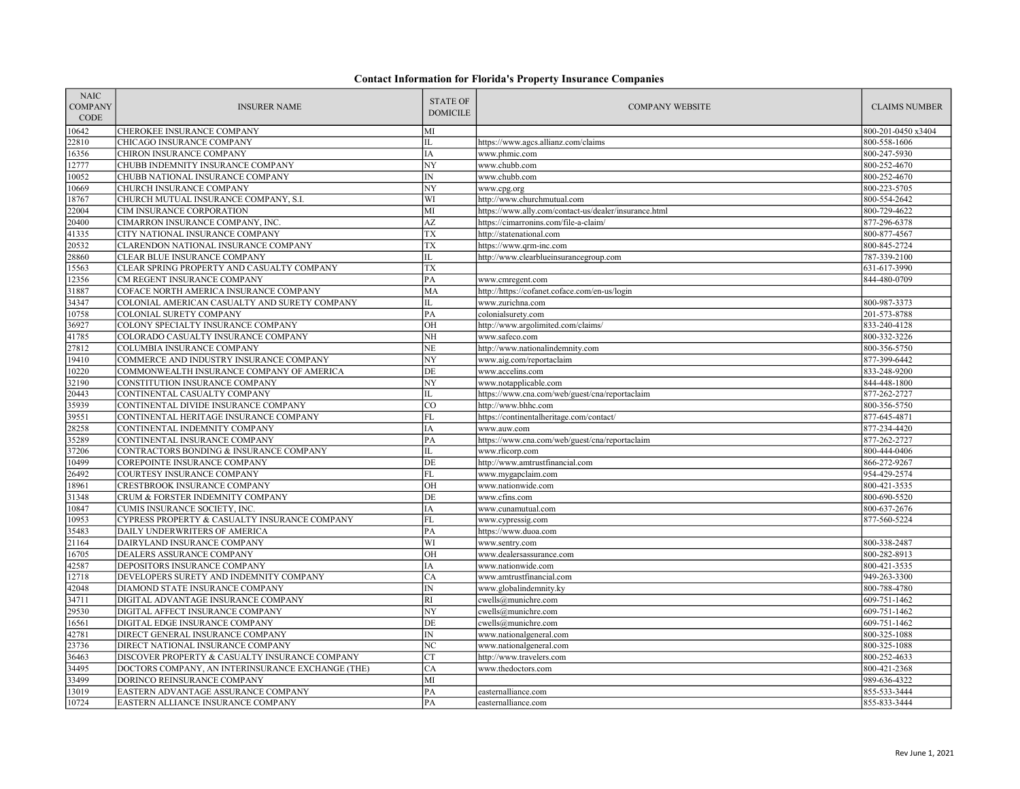| <b>NAIC</b><br><b>COMPANY</b><br><b>CODE</b> | <b>INSURER NAME</b>                               | <b>STATE OF</b><br><b>DOMICILE</b> | <b>COMPANY WEBSITE</b>                                | <b>CLAIMS NUMBER</b> |
|----------------------------------------------|---------------------------------------------------|------------------------------------|-------------------------------------------------------|----------------------|
| 10642                                        | CHEROKEE INSURANCE COMPANY                        | MI                                 |                                                       | 800-201-0450 x3404   |
| 22810                                        | CHICAGO INSURANCE COMPANY                         | IL                                 | https://www.agcs.allianz.com/claims                   | 800-558-1606         |
| 16356                                        | CHIRON INSURANCE COMPANY                          | IA                                 | www.phmic.com                                         | 800-247-5930         |
| 12777                                        | CHUBB INDEMNITY INSURANCE COMPANY                 | NY                                 | www.chubb.com                                         | 800-252-4670         |
| 10052                                        | CHUBB NATIONAL INSURANCE COMPANY                  | ${\rm IN}$                         | www.chubb.com                                         | 800-252-4670         |
| 10669                                        | CHURCH INSURANCE COMPANY                          | NY                                 | www.cpg.org                                           | 800-223-5705         |
| 18767                                        | CHURCH MUTUAL INSURANCE COMPANY, S.I.             | WI                                 | http://www.churchmutual.com                           | 800-554-2642         |
| 22004                                        | CIM INSURANCE CORPORATION                         | MI                                 | https://www.ally.com/contact-us/dealer/insurance.html | 800-729-4622         |
| 20400                                        | CIMARRON INSURANCE COMPANY, INC.                  | AZ                                 | https://cimarronins.com/file-a-claim/                 | 877-296-6378         |
| 41335                                        | CITY NATIONAL INSURANCE COMPANY                   | <b>TX</b>                          | http://statenational.com                              | 800-877-4567         |
| 20532                                        | CLARENDON NATIONAL INSURANCE COMPANY              | TX                                 | https://www.qrm-inc.com                               | 800-845-2724         |
| 28860                                        | CLEAR BLUE INSURANCE COMPANY                      | IL                                 | http://www.clearblueinsurancegroup.com                | 787-339-2100         |
| 15563                                        | CLEAR SPRING PROPERTY AND CASUALTY COMPANY        | <b>TX</b>                          |                                                       | 631-617-3990         |
| 12356                                        | CM REGENT INSURANCE COMPANY                       | PA                                 | www.cmregent.com                                      | 844-480-0709         |
| 31887                                        | COFACE NORTH AMERICA INSURANCE COMPANY            | MA                                 | http://https://cofanet.coface.com/en-us/login         |                      |
| 34347                                        | COLONIAL AMERICAN CASUALTY AND SURETY COMPANY     | IL                                 | www.zurichna.com                                      | 800-987-3373         |
| 10758                                        | COLONIAL SURETY COMPANY                           | PA                                 | colonialsurety.com                                    | 201-573-8788         |
| 36927                                        | COLONY SPECIALTY INSURANCE COMPANY                | OН                                 | http://www.argolimited.com/claims/                    | 833-240-4128         |
| 41785                                        | COLORADO CASUALTY INSURANCE COMPANY               | NH                                 | www.safeco.com                                        | 800-332-3226         |
| 27812                                        | COLUMBIA INSURANCE COMPANY                        | NE.                                | http://www.nationalindemnity.com                      | 800-356-5750         |
| 19410                                        | COMMERCE AND INDUSTRY INSURANCE COMPANY           | NY                                 | www.aig.com/reportaclaim                              | 877-399-6442         |
| 10220                                        | COMMONWEALTH INSURANCE COMPANY OF AMERICA         | DE                                 | www.accelins.com                                      | 833-248-9200         |
| 32190                                        | CONSTITUTION INSURANCE COMPANY                    | NY                                 | www.notapplicable.com                                 | 844-448-1800         |
| 20443                                        | CONTINENTAL CASUALTY COMPANY                      | IL                                 | https://www.cna.com/web/guest/cna/reportaclaim        | 877-262-2727         |
| 35939                                        | CONTINENTAL DIVIDE INSURANCE COMPANY              | CO                                 | http://www.bhhc.com                                   | 800-356-5750         |
| 39551                                        | CONTINENTAL HERITAGE INSURANCE COMPANY            | FL                                 | https://continentalheritage.com/contact/              | 877-645-4871         |
| 28258                                        | CONTINENTAL INDEMNITY COMPANY                     | IA                                 | www.auw.com                                           | 877-234-4420         |
| 35289                                        | CONTINENTAL INSURANCE COMPANY                     | PA                                 | https://www.cna.com/web/guest/cna/reportaclaim        | 877-262-2727         |
| 37206                                        | CONTRACTORS BONDING & INSURANCE COMPANY           | IL                                 | www.rlicorp.com                                       | 800-444-0406         |
| 10499                                        | COREPOINTE INSURANCE COMPANY                      | DE                                 | http://www.amtrustfinancial.com                       | 866-272-9267         |
| 26492                                        | COURTESY INSURANCE COMPANY                        | FL                                 | www.mygapclaim.com                                    | 954-429-2574         |
| 18961                                        | CRESTBROOK INSURANCE COMPANY                      | OН                                 | www.nationwide.com                                    | 800-421-3535         |
| 31348                                        | CRUM & FORSTER INDEMNITY COMPANY                  | DE                                 | www.cfins.com                                         | 800-690-5520         |
| 10847                                        | CUMIS INSURANCE SOCIETY, INC.                     | IA                                 | www.cunamutual.com                                    | 800-637-2676         |
| 10953                                        | CYPRESS PROPERTY & CASUALTY INSURANCE COMPANY     | FL                                 | www.cypressig.com                                     | 877-560-5224         |
| 35483                                        | DAILY UNDERWRITERS OF AMERICA                     | PA                                 | https://www.duoa.com                                  |                      |
| 21164                                        | DAIRYLAND INSURANCE COMPANY                       | WI                                 | www.sentry.com                                        | 800-338-2487         |
| 16705                                        | DEALERS ASSURANCE COMPANY                         | OH                                 | www.dealersassurance.com                              | 800-282-8913         |
| 42587                                        | DEPOSITORS INSURANCE COMPANY                      | IA                                 | www.nationwide.com                                    | 800-421-3535         |
| 12718                                        | DEVELOPERS SURETY AND INDEMNITY COMPANY           | CA                                 | www.amtrustfinancial.com                              | 949-263-3300         |
| 42048                                        | DIAMOND STATE INSURANCE COMPANY                   | IN                                 | www.globalindemnity.ky                                | 800-788-4780         |
| 34711                                        | DIGITAL ADVANTAGE INSURANCE COMPANY               | RI                                 | cwells@munichre.com                                   | 609-751-1462         |
| 29530                                        | DIGITAL AFFECT INSURANCE COMPANY                  | NY                                 | cwells@munichre.com                                   | 609-751-1462         |
| 16561                                        | DIGITAL EDGE INSURANCE COMPANY                    | DE                                 | cwells@munichre.com                                   | 609-751-1462         |
| 42781                                        | DIRECT GENERAL INSURANCE COMPANY                  | $\ensuremath{\text{IN}}$           | www.nationalgeneral.com                               | 800-325-1088         |
| 23736                                        | DIRECT NATIONAL INSURANCE COMPANY                 | $\overline{NC}$                    | www.nationalgeneral.com                               | 800-325-1088         |
| 36463                                        | DISCOVER PROPERTY & CASUALTY INSURANCE COMPANY    | <b>CT</b>                          | http://www.travelers.com                              | 800-252-4633         |
| 34495                                        | DOCTORS COMPANY, AN INTERINSURANCE EXCHANGE (THE) | CA                                 | www.thedoctors.com                                    | 800-421-2368         |
| 33499                                        | DORINCO REINSURANCE COMPANY                       | MI                                 |                                                       | 989-636-4322         |
| 13019                                        | EASTERN ADVANTAGE ASSURANCE COMPANY               | PA                                 | easternalliance.com                                   | 855-533-3444         |
| 10724                                        | EASTERN ALLIANCE INSURANCE COMPANY                | PA                                 | easternalliance.com                                   | 855-833-3444         |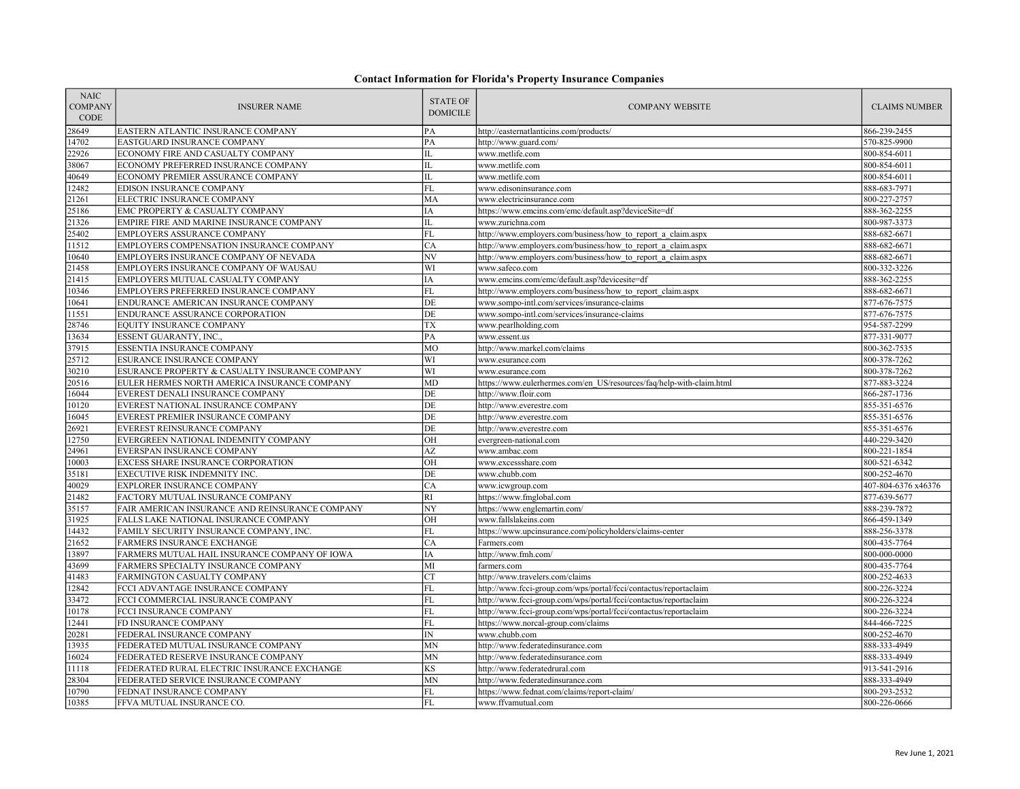| <b>NAIC</b><br><b>COMPANY</b><br><b>CODE</b> | <b>INSURER NAME</b>                                                                  | <b>STATE OF</b><br><b>DOMICILE</b> | <b>COMPANY WEBSITE</b>                                                                                                               | <b>CLAIMS NUMBER</b>         |
|----------------------------------------------|--------------------------------------------------------------------------------------|------------------------------------|--------------------------------------------------------------------------------------------------------------------------------------|------------------------------|
| 28649                                        | EASTERN ATLANTIC INSURANCE COMPANY                                                   | PA                                 | http://easternatlanticins.com/products/                                                                                              | 866-239-2455                 |
| 14702                                        | EASTGUARD INSURANCE COMPANY                                                          | PA                                 | http://www.guard.com/                                                                                                                | 570-825-9900                 |
| 22926                                        | ECONOMY FIRE AND CASUALTY COMPANY                                                    | IL                                 | www.metlife.com                                                                                                                      | 800-854-6011                 |
| 38067                                        | ECONOMY PREFERRED INSURANCE COMPANY                                                  | IL                                 | www.metlife.com                                                                                                                      | 800-854-6011                 |
| 40649                                        | ECONOMY PREMIER ASSURANCE COMPANY                                                    | $\Pi$ .                            | www.metlife.com                                                                                                                      | 800-854-6011                 |
| 12482                                        | EDISON INSURANCE COMPANY                                                             | <b>FL</b>                          | www.edisoninsurance.com                                                                                                              | 888-683-7971                 |
| 21261                                        | ELECTRIC INSURANCE COMPANY                                                           | MA                                 | www.electricinsurance.com                                                                                                            | 800-227-2757                 |
| 25186                                        | EMC PROPERTY & CASUALTY COMPANY                                                      | IA                                 | https://www.emcins.com/emc/default.asp?deviceSite=df                                                                                 | 888-362-2255                 |
| 21326                                        | EMPIRE FIRE AND MARINE INSURANCE COMPANY                                             | IL                                 | www.zurichna.com                                                                                                                     | 800-987-3373                 |
| 25402                                        | EMPLOYERS ASSURANCE COMPANY                                                          | FL                                 | http://www.employers.com/business/how to report a claim.aspx                                                                         | 888-682-6671                 |
| 11512                                        | EMPLOYERS COMPENSATION INSURANCE COMPANY                                             | CA                                 | http://www.employers.com/business/how to report a claim.aspx                                                                         | 888-682-6671                 |
| 10640                                        | EMPLOYERS INSURANCE COMPANY OF NEVADA                                                | NV                                 | http://www.employers.com/business/how to report a claim.aspx                                                                         | 888-682-6671                 |
| 21458                                        | EMPLOYERS INSURANCE COMPANY OF WAUSAU                                                | WI                                 | www.safeco.com                                                                                                                       | 800-332-3226                 |
| 21415                                        | EMPLOYERS MUTUAL CASUALTY COMPANY                                                    | IA                                 | www.emcins.com/emc/default.asp?devicesite=df                                                                                         | 888-362-2255                 |
| 10346                                        | EMPLOYERS PREFERRED INSURANCE COMPANY                                                | <b>FL</b>                          | http://www.employers.com/business/how to report claim.aspx                                                                           | 888-682-6671                 |
| 10641                                        | ENDURANCE AMERICAN INSURANCE COMPANY                                                 | DE                                 | www.sompo-intl.com/services/insurance-claims                                                                                         | 877-676-7575                 |
| 11551                                        | ENDURANCE ASSURANCE CORPORATION                                                      | DE                                 | www.sompo-intl.com/services/insurance-claims                                                                                         | 877-676-7575                 |
| 28746                                        | EQUITY INSURANCE COMPANY                                                             | <b>TX</b>                          | www.pearlholding.com                                                                                                                 | 954-587-2299                 |
| 13634                                        | ESSENT GUARANTY, INC.                                                                | PA                                 | www.essent.us                                                                                                                        | 877-331-9077                 |
| 37915                                        | ESSENTIA INSURANCE COMPANY                                                           | MO                                 | http://www.markel.com/claims                                                                                                         | 800-362-7535                 |
| 25712                                        | ESURANCE INSURANCE COMPANY                                                           | WI                                 | www.esurance.com                                                                                                                     | 800-378-7262                 |
| 30210                                        | ESURANCE PROPERTY & CASUALTY INSURANCE COMPANY                                       | WI                                 | www.esurance.com                                                                                                                     | 800-378-7262                 |
| 20516                                        | EULER HERMES NORTH AMERICA INSURANCE COMPANY                                         | <b>MD</b>                          | https://www.eulerhermes.com/en US/resources/faq/help-with-claim.html                                                                 | 877-883-3224                 |
| 16044                                        | EVEREST DENALI INSURANCE COMPANY                                                     | DE                                 | http://www.floir.com                                                                                                                 | 866-287-1736                 |
| 10120                                        | EVEREST NATIONAL INSURANCE COMPANY                                                   | DE                                 | http://www.everestre.com                                                                                                             | 855-351-6576                 |
| 16045                                        | EVEREST PREMIER INSURANCE COMPANY                                                    | DE                                 | http://www.everestre.com                                                                                                             | 855-351-6576                 |
| 26921                                        | EVEREST REINSURANCE COMPANY                                                          | DE                                 | http://www.everestre.com                                                                                                             | 855-351-6576                 |
| 12750                                        | EVERGREEN NATIONAL INDEMNITY COMPANY                                                 | OH                                 | evergreen-national.com                                                                                                               | 440-229-3420                 |
| 24961                                        | EVERSPAN INSURANCE COMPANY                                                           | AZ                                 | www.ambac.com                                                                                                                        | 800-221-1854                 |
| 10003                                        | EXCESS SHARE INSURANCE CORPORATION                                                   | OH                                 | www.excessshare.com                                                                                                                  | 800-521-6342                 |
| 35181                                        | EXECUTIVE RISK INDEMNITY INC.                                                        | DE                                 | www.chubb.com                                                                                                                        | 800-252-4670                 |
| 40029                                        | <b>EXPLORER INSURANCE COMPANY</b>                                                    | CA                                 | www.icwgroup.com                                                                                                                     | 407-804-6376 x46376          |
| 21482                                        | FACTORY MUTUAL INSURANCE COMPANY                                                     | RI                                 | https://www.fmglobal.com                                                                                                             | 877-639-5677                 |
| 35157                                        | FAIR AMERICAN INSURANCE AND REINSURANCE COMPANY                                      | NY                                 | https://www.englemartin.com/                                                                                                         | 888-239-7872                 |
| 31925                                        | FALLS LAKE NATIONAL INSURANCE COMPANY                                                | OH                                 | www.fallslakeins.com                                                                                                                 | 866-459-1349                 |
| 14432                                        | FAMILY SECURITY INSURANCE COMPANY, INC.                                              | <b>FL</b>                          | https://www.upcinsurance.com/policyholders/claims-center                                                                             | 888-256-3378                 |
| 21652                                        | FARMERS INSURANCE EXCHANGE                                                           | CA                                 | Farmers.com                                                                                                                          | 800-435-7764                 |
| 13897<br>43699                               | FARMERS MUTUAL HAIL INSURANCE COMPANY OF IOWA<br>FARMERS SPECIALTY INSURANCE COMPANY | IA<br>MI                           | http://www.fmh.com/                                                                                                                  | 800-000-0000<br>800-435-7764 |
|                                              |                                                                                      | <b>CT</b>                          | farmers.com                                                                                                                          |                              |
| 41483                                        | FARMINGTON CASUALTY COMPANY                                                          | <b>FL</b>                          | http://www.travelers.com/claims                                                                                                      | 800-252-4633                 |
| 12842<br>33472                               | FCCI ADVANTAGE INSURANCE COMPANY<br>FCCI COMMERCIAL INSURANCE COMPANY                | FL                                 | http://www.fcci-group.com/wps/portal/fcci/contactus/reportaclaim<br>http://www.fcci-group.com/wps/portal/fcci/contactus/reportaclaim | 800-226-3224<br>800-226-3224 |
| 10178                                        | FCCI INSURANCE COMPANY                                                               | <b>FL</b>                          |                                                                                                                                      | 800-226-3224                 |
| 12441                                        | FD INSURANCE COMPANY                                                                 | <b>FL</b>                          | http://www.fcci-group.com/wps/portal/fcci/contactus/reportaclaim<br>https://www.norcal-group.com/claims                              | 844-466-7225                 |
| 20281                                        | FEDERAL INSURANCE COMPANY                                                            | IN                                 | www.chubb.com                                                                                                                        | 800-252-4670                 |
| 13935                                        |                                                                                      | MN                                 | http://www.federatedinsurance.com                                                                                                    |                              |
| 16024                                        | FEDERATED MUTUAL INSURANCE COMPANY<br>FEDERATED RESERVE INSURANCE COMPANY            | <b>MN</b>                          | http://www.federatedinsurance.com                                                                                                    | 888-333-4949<br>888-333-4949 |
| 11118                                        | FEDERATED RURAL ELECTRIC INSURANCE EXCHANGE                                          | <b>KS</b>                          | http://www.federatedrural.com                                                                                                        | 913-541-2916                 |
| 28304                                        | FEDERATED SERVICE INSURANCE COMPANY                                                  | <b>MN</b>                          | http://www.federatedinsurance.com                                                                                                    | 888-333-4949                 |
| 10790                                        | FEDNAT INSURANCE COMPANY                                                             | FL                                 | https://www.fednat.com/claims/report-claim/                                                                                          | 800-293-2532                 |
| 10385                                        | FFVA MUTUAL INSURANCE CO.                                                            | FL                                 | www.ffvamutual.com                                                                                                                   | 800-226-0666                 |
|                                              |                                                                                      |                                    |                                                                                                                                      |                              |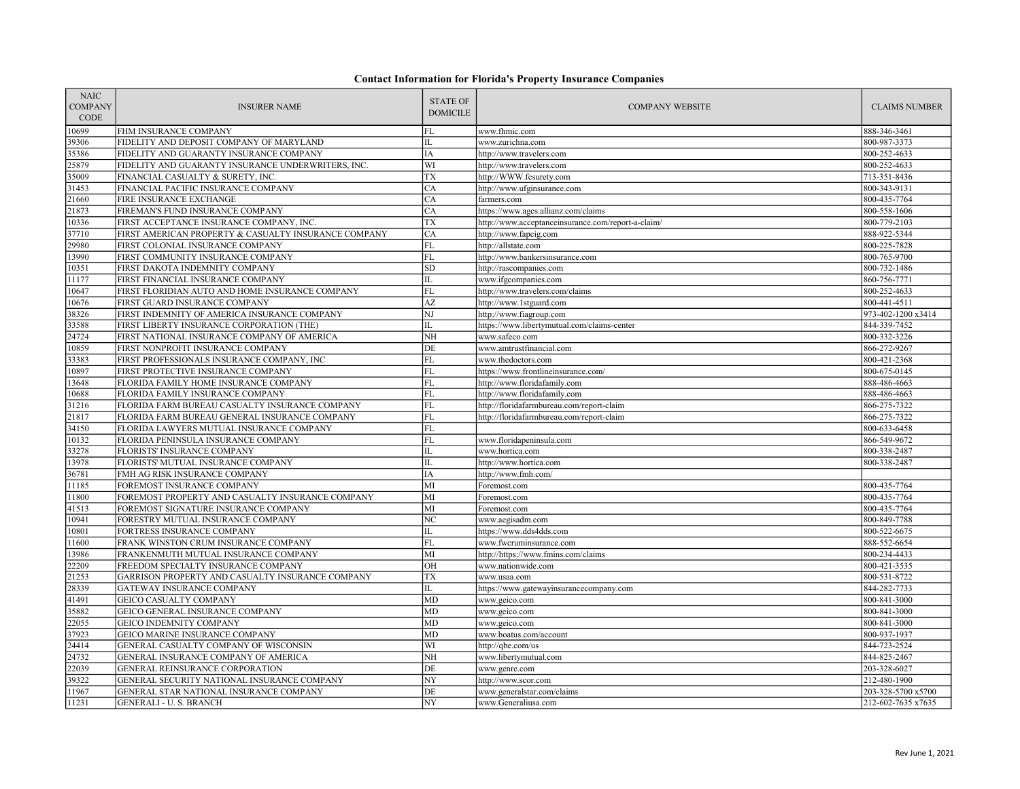| <b>NAIC</b><br><b>COMPANY</b><br><b>CODE</b> | <b>INSURER NAME</b>                                             | <b>STATE OF</b><br><b>DOMICILE</b> | <b>COMPANY WEBSITE</b>                             | <b>CLAIMS NUMBER</b>         |
|----------------------------------------------|-----------------------------------------------------------------|------------------------------------|----------------------------------------------------|------------------------------|
| 10699                                        | FHM INSURANCE COMPANY                                           | FL                                 | www.fhmic.com                                      | 888-346-3461                 |
| 39306                                        | FIDELITY AND DEPOSIT COMPANY OF MARYLAND                        | IL                                 | www.zurichna.com                                   | 800-987-3373                 |
| 35386                                        | FIDELITY AND GUARANTY INSURANCE COMPANY                         | IA                                 | http://www.travelers.com                           | 800-252-4633                 |
| 25879                                        | FIDELITY AND GUARANTY INSURANCE UNDERWRITERS, INC.              | WI                                 | http://www.travelers.com                           | 800-252-4633                 |
| 35009                                        | FINANCIAL CASUALTY & SURETY, INC.                               | TX                                 | http://WWW.fcsurety.com                            | 713-351-8436                 |
| 31453                                        | FINANCIAL PACIFIC INSURANCE COMPANY                             | CA                                 | http://www.ufginsurance.com                        | 800-343-9131                 |
| 21660                                        | FIRE INSURANCE EXCHANGE                                         | CA                                 | farmers.com                                        | 800-435-7764                 |
| 21873                                        | FIREMAN'S FUND INSURANCE COMPANY                                | CA                                 | https://www.agcs.allianz.com/claims                | 800-558-1606                 |
| 10336                                        | FIRST ACCEPTANCE INSURANCE COMPANY, INC.                        | <b>TX</b>                          | http://www.acceptanceinsurance.com/report-a-claim/ | 800-779-2103                 |
| 37710                                        | FIRST AMERICAN PROPERTY & CASUALTY INSURANCE COMPANY            | CA                                 | http://www.fapcig.com                              | 888-922-5344                 |
| 29980                                        | FIRST COLONIAL INSURANCE COMPANY                                | ${\rm FL}$                         | http://allstate.com                                | 800-225-7828                 |
| 13990                                        | FIRST COMMUNITY INSURANCE COMPANY                               | FL                                 | http://www.bankersinsurance.com                    | 800-765-9700                 |
| 10351                                        | FIRST DAKOTA INDEMNITY COMPANY                                  | ${\rm SD}$                         | http://rascompanies.com                            | 800-732-1486                 |
| 11177                                        | FIRST FINANCIAL INSURANCE COMPANY                               | IL                                 | www.ifgcompanies.com                               | 860-756-7771                 |
| 10647                                        | FIRST FLORIDIAN AUTO AND HOME INSURANCE COMPANY                 | $\overline{FL}$                    | http://www.travelers.com/claims                    | 800-252-4633                 |
| 10676                                        | FIRST GUARD INSURANCE COMPANY                                   | $\mathbf{A}\mathbf{Z}$             | http://www.1stguard.com                            | 800-441-4511                 |
| 38326                                        | FIRST INDEMNITY OF AMERICA INSURANCE COMPANY                    | $_{\rm NJ}$                        | http://www.fiagroup.com                            | 973-402-1200 x3414           |
| 33588                                        | FIRST LIBERTY INSURANCE CORPORATION (THE)                       | IL                                 | https://www.libertymutual.com/claims-center        | 844-339-7452                 |
| 24724                                        | FIRST NATIONAL INSURANCE COMPANY OF AMERICA                     | NH                                 | www.safeco.com                                     | 800-332-3226                 |
| 10859                                        | FIRST NONPROFIT INSURANCE COMPANY                               | $\rm{DE}$                          | www.amtrustfinancial.com                           | 866-272-9267                 |
| 33383                                        | FIRST PROFESSIONALS INSURANCE COMPANY, INC                      | FL                                 | www.thedoctors.com                                 | 800-421-2368                 |
| 10897                                        | FIRST PROTECTIVE INSURANCE COMPANY                              | FL                                 | https://www.frontlineinsurance.com/                | 800-675-0145                 |
| 13648                                        | FLORIDA FAMILY HOME INSURANCE COMPANY                           | $\mathbf{FL}$                      | http://www.floridafamily.com                       | 888-486-4663                 |
| 10688                                        | FLORIDA FAMILY INSURANCE COMPANY                                | FL                                 | http://www.floridafamily.com                       | 888-486-4663                 |
| 31216                                        | FLORIDA FARM BUREAU CASUALTY INSURANCE COMPANY                  | FL                                 | http://floridafarmbureau.com/report-claim          | 866-275-7322                 |
| 21817                                        | FLORIDA FARM BUREAU GENERAL INSURANCE COMPANY                   | <b>FL</b>                          | http://floridafarmbureau.com/report-claim          | 866-275-7322                 |
| 34150                                        | FLORIDA LAWYERS MUTUAL INSURANCE COMPANY                        | ${\rm FL}$                         |                                                    | 800-633-6458                 |
| 10132                                        | FLORIDA PENINSULA INSURANCE COMPANY                             | FL                                 | www.floridapeninsula.com                           | 866-549-9672                 |
| 33278                                        | FLORISTS' INSURANCE COMPANY                                     | IL                                 | www.hortica.com                                    | 800-338-2487                 |
| 13978                                        | FLORISTS' MUTUAL INSURANCE COMPANY                              | IL                                 | http://www.hortica.com                             | 800-338-2487                 |
| 36781                                        | FMH AG RISK INSURANCE COMPANY                                   | IA                                 | http://www.fmh.com/                                |                              |
| 11185                                        | FOREMOST INSURANCE COMPANY                                      | MI                                 | Foremost.com                                       | 800-435-7764                 |
| 11800                                        | FOREMOST PROPERTY AND CASUALTY INSURANCE COMPANY                | MI<br>$\overline{M}$               | Foremost.com                                       | 800-435-7764                 |
| 41513                                        | FOREMOST SIGNATURE INSURANCE COMPANY                            |                                    | Foremost.com                                       | 800-435-7764                 |
| 10941<br>10801                               | FORESTRY MUTUAL INSURANCE COMPANY<br>FORTRESS INSURANCE COMPANY | NC<br>IL                           | www.aegisadm.com<br>https://www.dds4dds.com        | 800-849-7788<br>800-522-6675 |
| 11600                                        | FRANK WINSTON CRUM INSURANCE COMPANY                            | FL                                 | www.fwcruminsurance.com                            | 888-552-6654                 |
| 13986                                        | FRANKENMUTH MUTUAL INSURANCE COMPANY                            | MI                                 | http://https://www.fmins.com/claims                | 800-234-4433                 |
| 22209                                        | FREEDOM SPECIALTY INSURANCE COMPANY                             | OH                                 | www.nationwide.com                                 | 800-421-3535                 |
| 21253                                        | GARRISON PROPERTY AND CASUALTY INSURANCE COMPANY                | <b>TX</b>                          | www.usaa.com                                       | 800-531-8722                 |
| 28339                                        | GATEWAY INSURANCE COMPANY                                       | IL                                 | https://www.gatewayinsurancecompany.com            | 844-282-7733                 |
| 41491                                        | <b>GEICO CASUALTY COMPANY</b>                                   | $\overline{MD}$                    | www.geico.com                                      | 800-841-3000                 |
| 35882                                        | GEICO GENERAL INSURANCE COMPANY                                 | MD                                 | www.geico.com                                      | 800-841-3000                 |
| 22055                                        | <b>GEICO INDEMNITY COMPANY</b>                                  | <b>MD</b>                          | www.geico.com                                      | 800-841-3000                 |
| 37923                                        | GEICO MARINE INSURANCE COMPANY                                  | MD                                 | www.boatus.com/account                             | 800-937-1937                 |
| 24414                                        | GENERAL CASUALTY COMPANY OF WISCONSIN                           | WI                                 | http://qbe.com/us                                  | 844-723-2524                 |
| 24732                                        | GENERAL INSURANCE COMPANY OF AMERICA                            | NH                                 | www.libertymutual.com                              | 844-825-2467                 |
| 22039                                        | GENERAL REINSURANCE CORPORATION                                 | DE                                 | www.genre.com                                      | 203-328-6027                 |
| 39322                                        | GENERAL SECURITY NATIONAL INSURANCE COMPANY                     | NY                                 | http://www.scor.com                                | 212-480-1900                 |
| 11967                                        | GENERAL STAR NATIONAL INSURANCE COMPANY                         | $\rm{DE}$                          | www.generalstar.com/claims                         | 203-328-5700 x5700           |
| 11231                                        | <b>GENERALI - U. S. BRANCH</b>                                  | NY                                 | www.Generaliusa.com                                | 212-602-7635 x7635           |
|                                              |                                                                 |                                    |                                                    |                              |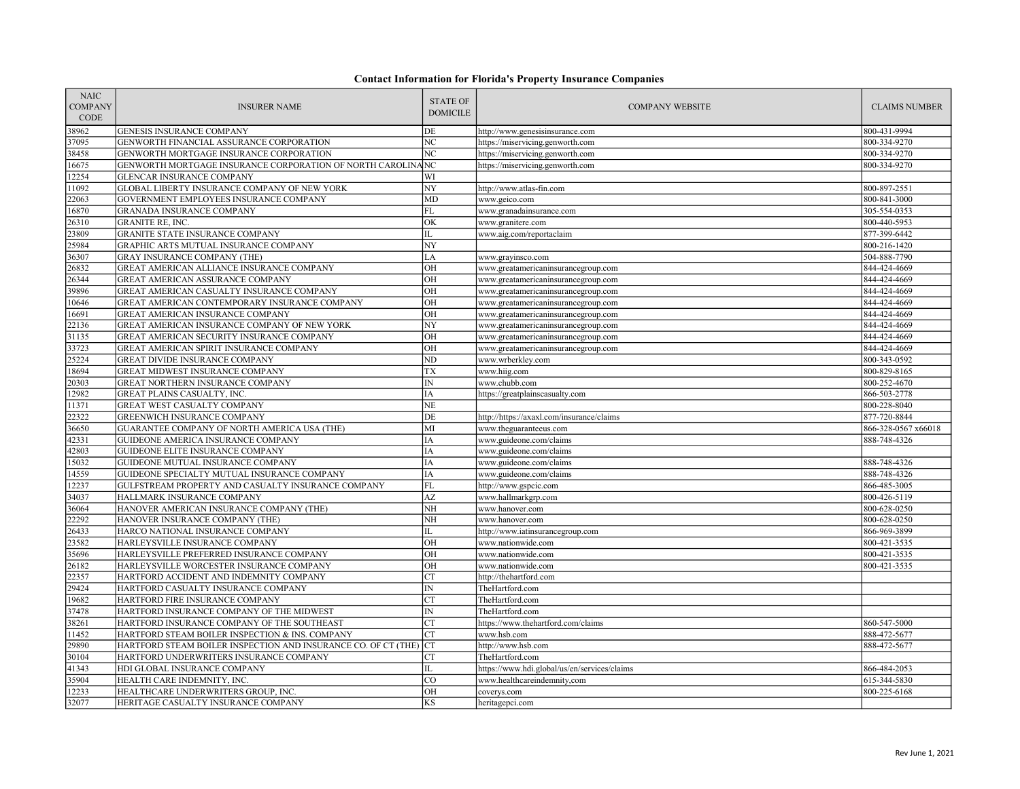| <b>NAIC</b><br><b>COMPANY</b><br>CODE | <b>INSURER NAME</b>                                               | <b>STATE OF</b><br><b>DOMICILE</b> | <b>COMPANY WEBSITE</b>                       | <b>CLAIMS NUMBER</b> |
|---------------------------------------|-------------------------------------------------------------------|------------------------------------|----------------------------------------------|----------------------|
| 38962                                 | <b>GENESIS INSURANCE COMPANY</b>                                  | DE                                 | http://www.genesisinsurance.com              | 800-431-9994         |
| 37095                                 | GENWORTH FINANCIAL ASSURANCE CORPORATION                          | NC                                 | https://miservicing.genworth.com             | 800-334-9270         |
| 38458                                 | GENWORTH MORTGAGE INSURANCE CORPORATION                           | NC                                 | https://miservicing.genworth.com             | 800-334-9270         |
| 16675                                 | GENWORTH MORTGAGE INSURANCE CORPORATION OF NORTH CAROLINAINC      |                                    | https://miservicing.genworth.com             | 800-334-9270         |
| 12254                                 | <b>GLENCAR INSURANCE COMPANY</b>                                  | WI                                 |                                              |                      |
| 1092                                  | GLOBAL LIBERTY INSURANCE COMPANY OF NEW YORK                      | NY                                 | http://www.atlas-fin.com                     | 800-897-2551         |
| 22063                                 | GOVERNMENT EMPLOYEES INSURANCE COMPANY                            | <b>MD</b>                          | www.geico.com                                | 800-841-3000         |
| 16870                                 | GRANADA INSURANCE COMPANY                                         | FL                                 | www.granadainsurance.com                     | 305-554-0353         |
| 26310                                 | <b>GRANITE RE, INC.</b>                                           | OK                                 | www.granitere.com                            | 800-440-5953         |
| 23809                                 | <b>GRANITE STATE INSURANCE COMPANY</b>                            | IL                                 | www.aig.com/reportaclaim                     | 877-399-6442         |
| 25984                                 | GRAPHIC ARTS MUTUAL INSURANCE COMPANY                             | NY                                 |                                              | 800-216-1420         |
| 36307                                 | <b>GRAY INSURANCE COMPANY (THE)</b>                               | LA                                 | www.grayinsco.com                            | 504-888-7790         |
| 26832                                 | GREAT AMERICAN ALLIANCE INSURANCE COMPANY                         | OH                                 | www.greatamericaninsurancegroup.com          | 844-424-4669         |
| 26344                                 | GREAT AMERICAN ASSURANCE COMPANY                                  | OH                                 | www.greatamericaninsurancegroup.com          | 844-424-4669         |
| 39896                                 | GREAT AMERICAN CASUALTY INSURANCE COMPANY                         | OH                                 | www.greatamericaninsurancegroup.com          | 844-424-4669         |
| 10646                                 | GREAT AMERICAN CONTEMPORARY INSURANCE COMPANY                     | OH                                 | www.greatamericaninsurancegroup.com          | 844-424-4669         |
| 16691                                 | GREAT AMERICAN INSURANCE COMPANY                                  | OH                                 | www.greatamericaninsurancegroup.com          | 844-424-4669         |
| 22136                                 | GREAT AMERICAN INSURANCE COMPANY OF NEW YORK                      | NY                                 | www.greatamericaninsurancegroup.com          | 844-424-4669         |
| 31135                                 | GREAT AMERICAN SECURITY INSURANCE COMPANY                         | OH                                 | www.greatamericaninsurancegroup.com          | 844-424-4669         |
| 33723                                 | GREAT AMERICAN SPIRIT INSURANCE COMPANY                           | OH                                 | www.greatamericaninsurancegroup.com          | 844-424-4669         |
| 25224                                 | <b>GREAT DIVIDE INSURANCE COMPANY</b>                             | ND                                 | www.wrberkley.com                            | 800-343-0592         |
| 18694                                 | GREAT MIDWEST INSURANCE COMPANY                                   | TX                                 | www.hiig.com                                 | 800-829-8165         |
| 20303                                 | GREAT NORTHERN INSURANCE COMPANY                                  | IN                                 | www.chubb.com                                | 800-252-4670         |
| 12982                                 | GREAT PLAINS CASUALTY, INC.                                       | IΑ                                 | https://greatplainscasualty.com              | 866-503-2778         |
| 11371                                 | GREAT WEST CASUALTY COMPANY                                       | <b>NE</b>                          |                                              | 800-228-8040         |
| 22322                                 | <b>GREENWICH INSURANCE COMPANY</b>                                | DE                                 | http://https://axaxl.com/insurance/claims    | 877-720-8844         |
| 36650                                 | GUARANTEE COMPANY OF NORTH AMERICA USA (THE)                      | MI                                 | www.theguaranteeus.com                       | 866-328-0567 x66018  |
| 42331                                 | GUIDEONE AMERICA INSURANCE COMPANY                                | <b>IA</b>                          | www.guideone.com/claims                      | 888-748-4326         |
| 42803                                 | GUIDEONE ELITE INSURANCE COMPANY                                  | IΑ                                 | www.guideone.com/claims                      |                      |
| 15032                                 | GUIDEONE MUTUAL INSURANCE COMPANY                                 | IA                                 | www.guideone.com/claims                      | 888-748-4326         |
| 14559                                 | GUIDEONE SPECIALTY MUTUAL INSURANCE COMPANY                       | IA                                 | www.guideone.com/claims                      | 888-748-4326         |
| 12237                                 | GULFSTREAM PROPERTY AND CASUALTY INSURANCE COMPANY                | FL                                 | http://www.gspcic.com                        | 866-485-3005         |
| 34037                                 | HALLMARK INSURANCE COMPANY                                        | AZ                                 | www.hallmarkgrp.com                          | 800-426-5119         |
| 36064                                 | HANOVER AMERICAN INSURANCE COMPANY (THE)                          | NH                                 | www.hanover.com                              | 800-628-0250         |
| 22292                                 | HANOVER INSURANCE COMPANY (THE)                                   | NH                                 | www.hanover.com                              | 800-628-0250         |
| 26433                                 | HARCO NATIONAL INSURANCE COMPANY                                  | IL                                 | http://www.iatinsurancegroup.com             | 866-969-3899         |
| 23582                                 | HARLEYSVILLE INSURANCE COMPANY                                    | $\overline{OH}$                    | www.nationwide.com                           | 800-421-3535         |
| 35696                                 | HARLEYSVILLE PREFERRED INSURANCE COMPANY                          | OH                                 | www.nationwide.com                           | 800-421-3535         |
| 26182                                 | HARLEYSVILLE WORCESTER INSURANCE COMPANY                          | OH                                 | www.nationwide.com                           | 800-421-3535         |
| 22357                                 | HARTFORD ACCIDENT AND INDEMNITY COMPANY                           | <b>CT</b>                          | http://thehartford.com                       |                      |
| 29424                                 | HARTFORD CASUALTY INSURANCE COMPANY                               | $\mathbb{IN}$                      | TheHartford.com                              |                      |
| 19682                                 | HARTFORD FIRE INSURANCE COMPANY                                   | <b>CT</b>                          | TheHartford.com                              |                      |
| 37478                                 | HARTFORD INSURANCE COMPANY OF THE MIDWEST                         | IN                                 | TheHartford.com                              |                      |
| 38261                                 | HARTFORD INSURANCE COMPANY OF THE SOUTHEAST                       | <b>CT</b>                          | https://www.thehartford.com/claims           | 860-547-5000         |
| 11452                                 | HARTFORD STEAM BOILER INSPECTION & INS. COMPANY                   | <b>CT</b>                          | www.hsb.com                                  | 888-472-5677         |
| 29890                                 | HARTFORD STEAM BOILER INSPECTION AND INSURANCE CO. OF CT (THE) CT |                                    | http://www.hsb.com                           | 888-472-5677         |
| 30104                                 | HARTFORD UNDERWRITERS INSURANCE COMPANY                           | <b>CT</b><br>IL                    | TheHartford.com                              |                      |
| 41343                                 | HDI GLOBAL INSURANCE COMPANY                                      | <b>CO</b>                          | https://www.hdi.global/us/en/services/claims | 866-484-2053         |
| 35904                                 | HEALTH CARE INDEMNITY, INC.                                       | OH                                 | www.healthcareindemnity,com                  | 615-344-5830         |
| 12233                                 | HEALTHCARE UNDERWRITERS GROUP, INC.                               |                                    | coverys.com                                  | 800-225-6168         |
| 32077                                 | HERITAGE CASUALTY INSURANCE COMPANY                               | KS                                 | heritagepci.com                              |                      |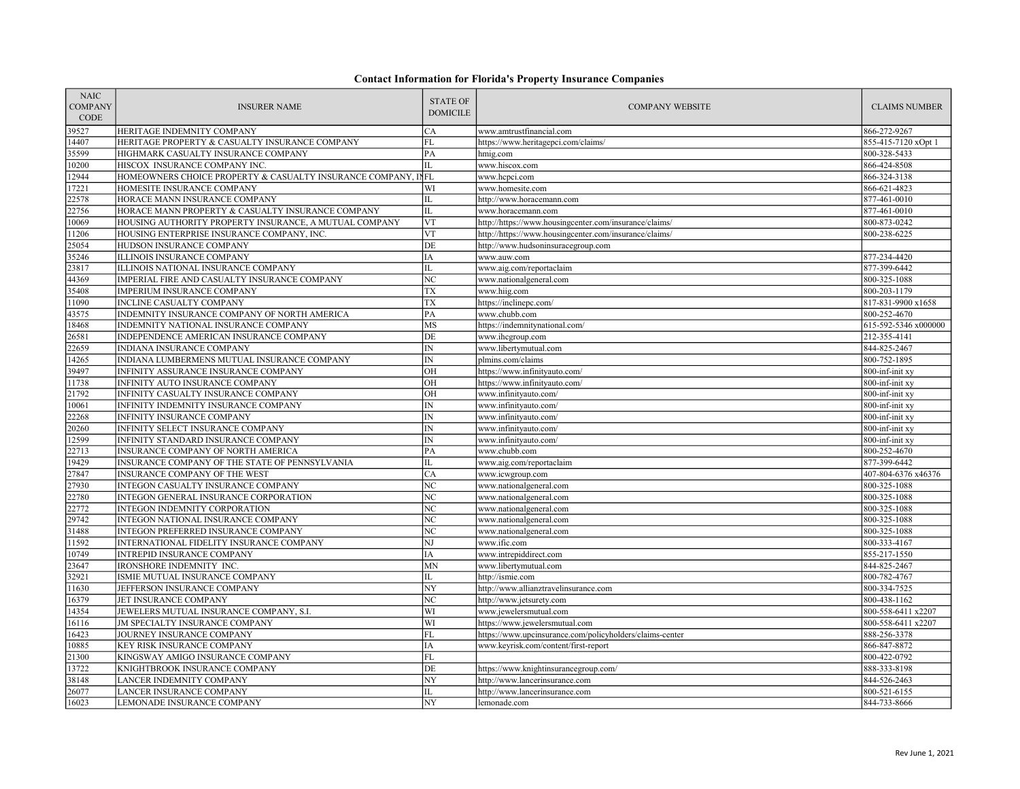| <b>NAIC</b><br><b>COMPANY</b><br><b>CODE</b> | <b>INSURER NAME</b>                                           | <b>STATE OF</b><br><b>DOMICILE</b> | <b>COMPANY WEBSITE</b>                                   | <b>CLAIMS NUMBER</b> |
|----------------------------------------------|---------------------------------------------------------------|------------------------------------|----------------------------------------------------------|----------------------|
| 39527                                        | HERITAGE INDEMNITY COMPANY                                    | CA                                 | www.amtrustfinancial.com                                 | 866-272-9267         |
| 14407                                        | HERITAGE PROPERTY & CASUALTY INSURANCE COMPANY                | <b>FL</b>                          | https://www.heritagepci.com/claims/                      | 855-415-7120 xOpt 1  |
| 35599                                        | HIGHMARK CASUALTY INSURANCE COMPANY                           | PA                                 | hmig.com                                                 | 800-328-5433         |
| 10200                                        | HISCOX INSURANCE COMPANY INC.                                 | IL                                 | www.hiscox.com                                           | 866-424-8508         |
| 12944                                        | HOMEOWNERS CHOICE PROPERTY & CASUALTY INSURANCE COMPANY, INFL |                                    | www.hcpci.com                                            | 866-324-3138         |
| 17221                                        | HOMESITE INSURANCE COMPANY                                    | WI                                 | www.homesite.com                                         | 866-621-4823         |
| 22578                                        | HORACE MANN INSURANCE COMPANY                                 | IL                                 | http://www.horacemann.com                                | 877-461-0010         |
| 22756                                        | HORACE MANN PROPERTY & CASUALTY INSURANCE COMPANY             | IL                                 | www.horacemann.com                                       | 877-461-0010         |
| 10069                                        | HOUSING AUTHORITY PROPERTY INSURANCE, A MUTUAL COMPANY        | VT                                 | http://https://www.housingcenter.com/insurance/claims/   | 800-873-0242         |
| 1206                                         | HOUSING ENTERPRISE INSURANCE COMPANY, INC.                    | <b>VT</b>                          | http://https://www.housingcenter.com/insurance/claims/   | 800-238-6225         |
| 25054                                        | HUDSON INSURANCE COMPANY                                      | DE                                 | http://www.hudsoninsuracegroup.com                       |                      |
| 35246                                        | ILLINOIS INSURANCE COMPANY                                    | IA                                 | www.auw.com                                              | 877-234-4420         |
| 23817                                        | ILLINOIS NATIONAL INSURANCE COMPANY                           | IL                                 | www.aig.com/reportaclaim                                 | 877-399-6442         |
| 44369                                        | IMPERIAL FIRE AND CASUALTY INSURANCE COMPANY                  | NC                                 | www.nationalgeneral.com                                  | 800-325-1088         |
| 35408                                        | IMPERIUM INSURANCE COMPANY                                    | TX                                 | www.hiig.com                                             | 800-203-1179         |
| 11090                                        | INCLINE CASUALTY COMPANY                                      | TX                                 | https://inclinepc.com/                                   | 817-831-9900 x1658   |
| 43575                                        | INDEMNITY INSURANCE COMPANY OF NORTH AMERICA                  | PA                                 | www.chubb.com                                            | 800-252-4670         |
| 18468                                        | INDEMNITY NATIONAL INSURANCE COMPANY                          | MS                                 | https://indemnitynational.com/                           | 615-592-5346 x000000 |
| 26581                                        | INDEPENDENCE AMERICAN INSURANCE COMPANY                       | DE                                 | www.ihcgroup.com                                         | 212-355-4141         |
| 22659                                        | INDIANA INSURANCE COMPANY                                     | $\mathbb{N}$                       | www.libertymutual.com                                    | 844-825-2467         |
| 14265                                        | INDIANA LUMBERMENS MUTUAL INSURANCE COMPANY                   | IN                                 | plmins.com/claims                                        | 800-752-1895         |
| 39497                                        | INFINITY ASSURANCE INSURANCE COMPANY                          | OH                                 | https://www.infinityauto.com/                            | 800-inf-init xy      |
| 11738                                        | INFINITY AUTO INSURANCE COMPANY                               | OH                                 | https://www.infinityauto.com/                            | 800-inf-init xy      |
| 21792                                        | INFINITY CASUALTY INSURANCE COMPANY                           | OH                                 | www.infinityauto.com/                                    | 800-inf-init xy      |
| 10061                                        | INFINITY INDEMNITY INSURANCE COMPANY                          | $\ensuremath{\text{IN}}$           | www.infinityauto.com/                                    | 800-inf-init xy      |
| 22268                                        | INFINITY INSURANCE COMPANY                                    | $\overline{IN}$                    | www.infinityauto.com/                                    | 800-inf-init xy      |
| 20260                                        | INFINITY SELECT INSURANCE COMPANY                             | $\text{IN}{}$                      | www.infinityauto.com/                                    | 800-inf-init xy      |
| 12599                                        | INFINITY STANDARD INSURANCE COMPANY                           | $\overline{N}$                     | www.infinityauto.com/                                    | 800-inf-init xy      |
| 22713                                        | INSURANCE COMPANY OF NORTH AMERICA                            | PA                                 | www.chubb.com                                            | 800-252-4670         |
| 19429                                        | INSURANCE COMPANY OF THE STATE OF PENNSYLVANIA                | IL                                 | www.aig.com/reportaclaim                                 | 877-399-6442         |
| 27847                                        | INSURANCE COMPANY OF THE WEST                                 | CA                                 | www.icwgroup.com                                         | 407-804-6376 x46376  |
| 27930                                        | INTEGON CASUALTY INSURANCE COMPANY                            | NC                                 | www.nationalgeneral.com                                  | 800-325-1088         |
| 22780                                        | INTEGON GENERAL INSURANCE CORPORATION                         | NC                                 | www.nationalgeneral.com                                  | 800-325-1088         |
| 22772                                        | INTEGON INDEMNITY CORPORATION                                 | $\overline{\text{NC}}$             | www.nationalgeneral.com                                  | 800-325-1088         |
| 29742                                        | INTEGON NATIONAL INSURANCE COMPANY                            | NC                                 | www.nationalgeneral.com                                  | 800-325-1088         |
| 31488                                        | INTEGON PREFERRED INSURANCE COMPANY                           | $\overline{NC}$                    | www.nationalgeneral.com                                  | 800-325-1088         |
| 11592                                        | INTERNATIONAL FIDELITY INSURANCE COMPANY                      | NJ                                 | www.ific.com                                             | 800-333-4167         |
| 10749                                        | <b>INTREPID INSURANCE COMPANY</b>                             | IΑ                                 | www.intrepiddirect.com                                   | 855-217-1550         |
| 23647                                        | IRONSHORE INDEMNITY INC.                                      | <b>MN</b>                          | www.libertymutual.com                                    | 844-825-2467         |
| 32921                                        | ISMIE MUTUAL INSURANCE COMPANY                                | IL                                 | http://ismie.com                                         | 800-782-4767         |
| 11630                                        | JEFFERSON INSURANCE COMPANY                                   | NY                                 | http://www.allianztravelinsurance.com                    | 800-334-7525         |
| 16379                                        | JET INSURANCE COMPANY                                         | NC                                 | http://www.jetsurety.com                                 | 800-438-1162         |
| 14354                                        | JEWELERS MUTUAL INSURANCE COMPANY, S.I.                       | WI                                 | www.jewelersmutual.com                                   | 800-558-6411 x2207   |
| 16116                                        | JM SPECIALTY INSURANCE COMPANY                                | WI                                 | https://www.jewelersmutual.com                           | 800-558-6411 x2207   |
| 16423                                        | JOURNEY INSURANCE COMPANY                                     | FL                                 | https://www.upcinsurance.com/policyholders/claims-center | 888-256-3378         |
| 10885                                        | KEY RISK INSURANCE COMPANY                                    | IΑ                                 | www.keyrisk.com/content/first-report                     | 866-847-8872         |
| 21300                                        | KINGSWAY AMIGO INSURANCE COMPANY                              | FL                                 |                                                          | 800-422-0792         |
| 13722                                        | KNIGHTBROOK INSURANCE COMPANY                                 | DE                                 | https://www.knightinsurancegroup.com/                    | 888-333-8198         |
| 38148                                        | LANCER INDEMNITY COMPANY                                      | NY                                 | http://www.lancerinsurance.com                           | 844-526-2463         |
| 26077                                        | LANCER INSURANCE COMPANY                                      | IL                                 | http://www.lancerinsurance.com                           | 800-521-6155         |
| 16023                                        | LEMONADE INSURANCE COMPANY                                    | NY                                 | lemonade.com                                             | 844-733-8666         |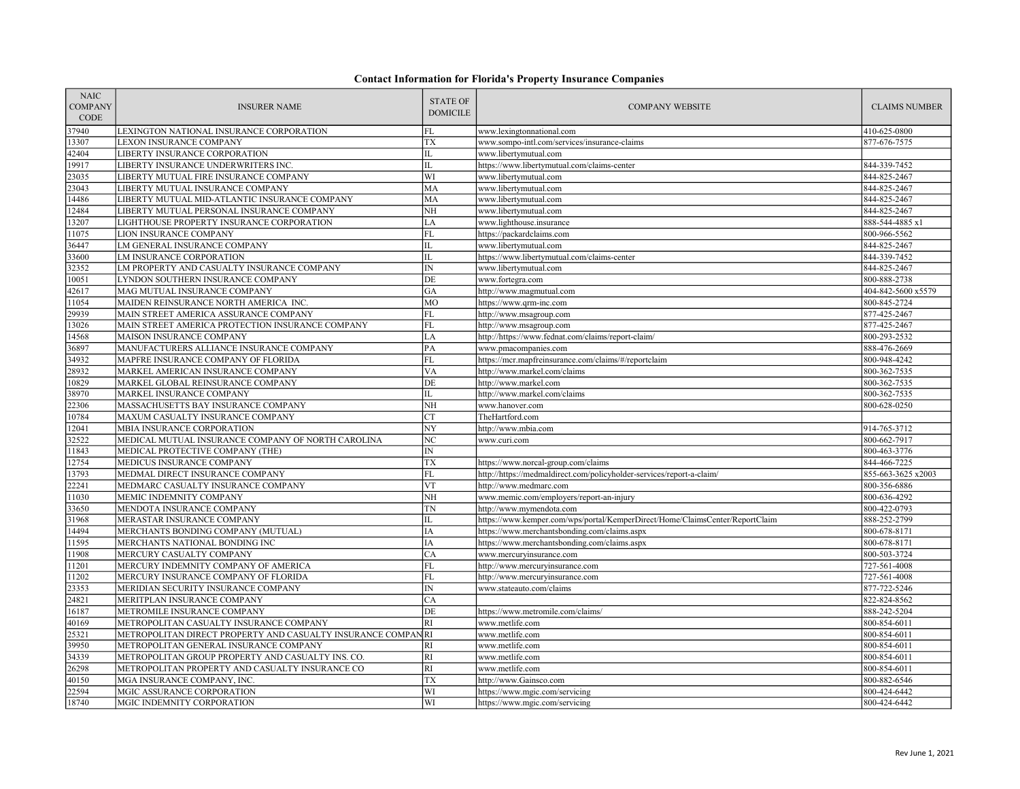| <b>NAIC</b><br><b>COMPANY</b><br>CODE | <b>INSURER NAME</b>                                          | <b>STATE OF</b><br><b>DOMICILE</b> | <b>COMPANY WEBSITE</b>                                                       | <b>CLAIMS NUMBER</b> |
|---------------------------------------|--------------------------------------------------------------|------------------------------------|------------------------------------------------------------------------------|----------------------|
| 37940                                 | LEXINGTON NATIONAL INSURANCE CORPORATION                     | FL                                 | www.lexingtonnational.com                                                    | 410-625-0800         |
| 13307                                 | <b>LEXON INSURANCE COMPANY</b>                               | <b>TX</b>                          | www.sompo-intl.com/services/insurance-claims                                 | 877-676-7575         |
| 42404                                 | LIBERTY INSURANCE CORPORATION                                | IL                                 | www.libertymutual.com                                                        |                      |
| 19917                                 | LIBERTY INSURANCE UNDERWRITERS INC.                          | IL                                 | https://www.libertymutual.com/claims-center                                  | 844-339-7452         |
| 23035                                 | LIBERTY MUTUAL FIRE INSURANCE COMPANY                        | WI                                 | www.libertymutual.com                                                        | 844-825-2467         |
| 23043                                 | LIBERTY MUTUAL INSURANCE COMPANY                             | MA                                 | www.libertymutual.com                                                        | 844-825-2467         |
| 14486                                 | LIBERTY MUTUAL MID-ATLANTIC INSURANCE COMPANY                | MA                                 | www.libertymutual.com                                                        | 844-825-2467         |
| 12484                                 | LIBERTY MUTUAL PERSONAL INSURANCE COMPANY                    | NH                                 | www.libertymutual.com                                                        | 844-825-2467         |
| 13207                                 | LIGHTHOUSE PROPERTY INSURANCE CORPORATION                    | LA                                 | www.lighthouse.insurance                                                     | 888-544-4885 x1      |
| 1075                                  | LION INSURANCE COMPANY                                       | FL.                                | https://packardclaims.com                                                    | 800-966-5562         |
| 36447                                 | LM GENERAL INSURANCE COMPANY                                 | IL                                 | www.libertymutual.com                                                        | 844-825-2467         |
| 33600                                 | LM INSURANCE CORPORATION                                     | IL                                 | https://www.libertymutual.com/claims-center                                  | 844-339-7452         |
| 32352                                 | LM PROPERTY AND CASUALTY INSURANCE COMPANY                   | $\mathbb{IN}$                      | www.libertymutual.com                                                        | 844-825-2467         |
| 10051                                 | LYNDON SOUTHERN INSURANCE COMPANY                            | DE                                 | www.fortegra.com                                                             | 800-888-2738         |
| 42617                                 | MAG MUTUAL INSURANCE COMPANY                                 | GA                                 | http://www.magmutual.com                                                     | 404-842-5600 x5579   |
| 11054                                 | MAIDEN REINSURANCE NORTH AMERICA INC.                        | MO                                 | https://www.qrm-inc.com                                                      | 800-845-2724         |
| 29939                                 | MAIN STREET AMERICA ASSURANCE COMPANY                        | <b>FL</b>                          | http://www.msagroup.com                                                      | 877-425-2467         |
| 13026                                 | MAIN STREET AMERICA PROTECTION INSURANCE COMPANY             | FL                                 | http://www.msagroup.com                                                      | 877-425-2467         |
| 14568                                 | MAISON INSURANCE COMPANY                                     | LA                                 | http://https://www.fednat.com/claims/report-claim/                           | 800-293-2532         |
| 36897                                 | MANUFACTURERS ALLIANCE INSURANCE COMPANY                     | PA                                 | www.pmacompanies.com                                                         | 888-476-2669         |
| 34932                                 | MAPFRE INSURANCE COMPANY OF FLORIDA                          | FL                                 | https://mcr.mapfreinsurance.com/claims/#/reportclaim                         | 800-948-4242         |
| 28932                                 | MARKEL AMERICAN INSURANCE COMPANY                            | VA                                 | http://www.markel.com/claims                                                 | 800-362-7535         |
| 10829                                 | MARKEL GLOBAL REINSURANCE COMPANY                            | DE                                 | http://www.markel.com                                                        | 800-362-7535         |
| 38970                                 | MARKEL INSURANCE COMPANY                                     | IL                                 | http://www.markel.com/claims                                                 | 800-362-7535         |
| 22306                                 | MASSACHUSETTS BAY INSURANCE COMPANY                          | NH                                 | www.hanover.com                                                              | 800-628-0250         |
| 10784                                 | MAXUM CASUALTY INSURANCE COMPANY                             | <b>CT</b>                          | TheHartford.com                                                              |                      |
| 12041                                 | MBIA INSURANCE CORPORATION                                   | NY                                 | http://www.mbia.com                                                          | 914-765-3712         |
| 32522                                 | MEDICAL MUTUAL INSURANCE COMPANY OF NORTH CAROLINA           | NC                                 | www.curi.com                                                                 | 800-662-7917         |
| 11843                                 | MEDICAL PROTECTIVE COMPANY (THE)                             | IN                                 |                                                                              | 800-463-3776         |
| 12754                                 | MEDICUS INSURANCE COMPANY                                    | TX                                 | https://www.norcal-group.com/claims                                          | 844-466-7225         |
| 13793                                 | MEDMAL DIRECT INSURANCE COMPANY                              | FL                                 | http://https://medmaldirect.com/policyholder-services/report-a-claim/        | 855-663-3625 x2003   |
| 22241                                 | MEDMARC CASUALTY INSURANCE COMPANY                           | VT                                 | http://www.medmarc.com                                                       | 800-356-6886         |
| 11030                                 | MEMIC INDEMNITY COMPANY                                      | NH                                 | www.memic.com/employers/report-an-injury                                     | 800-636-4292         |
| 33650                                 | MENDOTA INSURANCE COMPANY                                    | TN                                 | http://www.mymendota.com                                                     | 800-422-0793         |
| 31968                                 | MERASTAR INSURANCE COMPANY                                   | IL                                 | https://www.kemper.com/wps/portal/KemperDirect/Home/ClaimsCenter/ReportClaim | 888-252-2799         |
| 14494                                 | MERCHANTS BONDING COMPANY (MUTUAL)                           | IA                                 | https://www.merchantsbonding.com/claims.aspx                                 | 800-678-8171         |
| 11595                                 | MERCHANTS NATIONAL BONDING INC                               | IA                                 | https://www.merchantsbonding.com/claims.aspx                                 | 800-678-8171         |
| 11908                                 | MERCURY CASUALTY COMPANY                                     | CA                                 | www.mercuryinsurance.com                                                     | 800-503-3724         |
| 11201                                 | MERCURY INDEMNITY COMPANY OF AMERICA                         | <b>FL</b>                          | http://www.mercuryinsurance.com                                              | 727-561-4008         |
| 11202                                 | MERCURY INSURANCE COMPANY OF FLORIDA                         | <b>FL</b>                          | http://www.mercuryinsurance.com                                              | 727-561-4008         |
| 23353                                 | MERIDIAN SECURITY INSURANCE COMPANY                          | $\mathbb{IN}$                      | www.stateauto.com/claims                                                     | 877-722-5246         |
| 24821                                 | MERITPLAN INSURANCE COMPANY                                  | CA                                 |                                                                              | 822-824-8562         |
| 16187                                 | METROMILE INSURANCE COMPANY                                  | DE                                 | https://www.metromile.com/claims/                                            | 888-242-5204         |
| 40169                                 | METROPOLITAN CASUALTY INSURANCE COMPANY                      | RI                                 | www.metlife.com                                                              | 800-854-6011         |
| 25321                                 | METROPOLITAN DIRECT PROPERTY AND CASUALTY INSURANCE COMPANRI |                                    | www.metlife.com                                                              | 800-854-6011         |
| 39950                                 | METROPOLITAN GENERAL INSURANCE COMPANY                       | RI                                 | www.metlife.com                                                              | 800-854-6011         |
| 34339                                 | METROPOLITAN GROUP PROPERTY AND CASUALTY INS. CO.            | <b>RI</b>                          | www.metlife.com                                                              | 800-854-6011         |
| 26298                                 | METROPOLITAN PROPERTY AND CASUALTY INSURANCE CO              | <b>RI</b>                          | www.metlife.com                                                              | 800-854-6011         |
| 40150                                 | MGA INSURANCE COMPANY, INC.                                  | TX                                 | http://www.Gainsco.com                                                       | 800-882-6546         |
| 22594                                 | MGIC ASSURANCE CORPORATION                                   | WI                                 | https://www.mgic.com/servicing                                               | 800-424-6442         |
| 18740                                 | MGIC INDEMNITY CORPORATION                                   | WI                                 | https://www.mgic.com/servicing                                               | 800-424-6442         |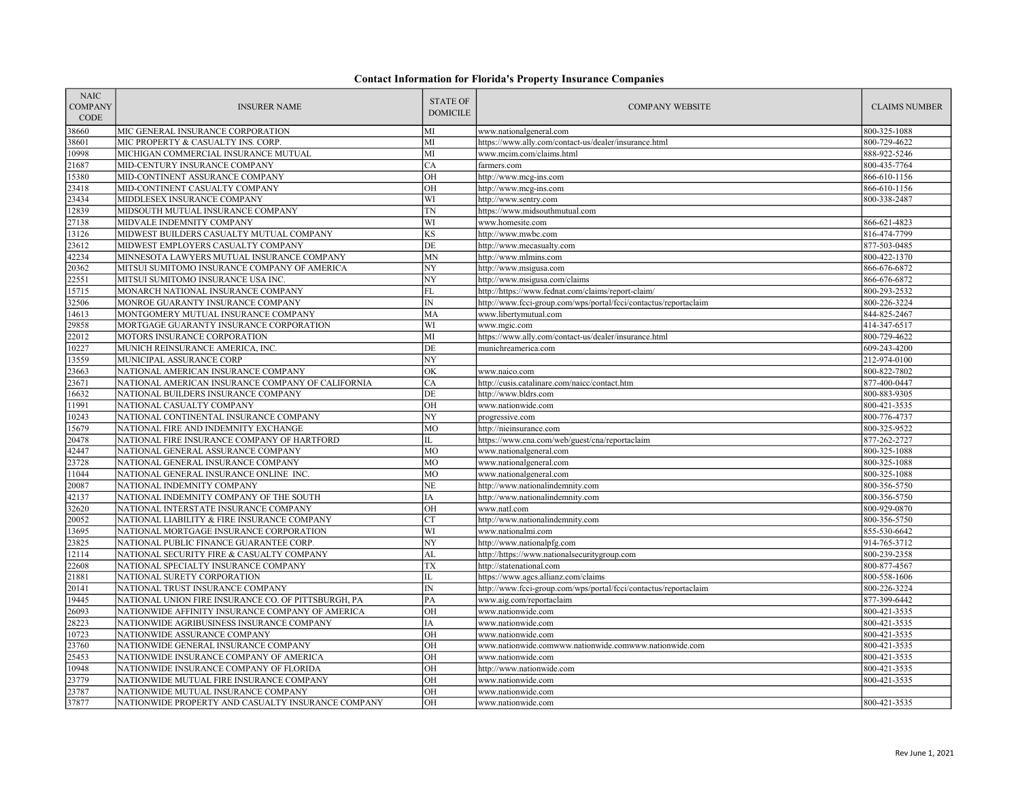| <b>NAIC</b><br><b>COMPANY</b><br><b>CODE</b> | <b>INSURER NAME</b>                                 | <b>STATE OF</b><br><b>DOMICILE</b> | <b>COMPANY WEBSITE</b>                                           | <b>CLAIMS NUMBER</b> |
|----------------------------------------------|-----------------------------------------------------|------------------------------------|------------------------------------------------------------------|----------------------|
| 38660                                        | MIC GENERAL INSURANCE CORPORATION                   | MI                                 | www.nationalgeneral.com                                          | 800-325-1088         |
| 38601                                        | MIC PROPERTY & CASUALTY INS. CORP.                  | MI                                 | https://www.ally.com/contact-us/dealer/insurance.html            | 800-729-4622         |
| 10998                                        | MICHIGAN COMMERCIAL INSURANCE MUTUAL                | MI                                 | www.mcim.com/claims.html                                         | 888-922-5246         |
| 21687                                        | MID-CENTURY INSURANCE COMPANY                       | CA                                 | farmers.com                                                      | 800-435-7764         |
| 15380                                        | MID-CONTINENT ASSURANCE COMPANY                     | OH                                 | http://www.mcg-ins.com                                           | 866-610-1156         |
| 23418                                        | MID-CONTINENT CASUALTY COMPANY                      | $\overline{OH}$                    | http://www.mcg-ins.com                                           | 866-610-1156         |
| 23434                                        | MIDDLESEX INSURANCE COMPANY                         | WI                                 | http://www.sentry.com                                            | 800-338-2487         |
| 12839                                        | MIDSOUTH MUTUAL INSURANCE COMPANY                   | TN                                 | https://www.midsouthmutual.com                                   |                      |
| 27138                                        | MIDVALE INDEMNITY COMPANY                           | WI                                 | www.homesite.com                                                 | 866-621-4823         |
| 13126                                        | MIDWEST BUILDERS CASUALTY MUTUAL COMPANY            | KS                                 | http://www.mwbc.com                                              | 816-474-7799         |
| 23612                                        | MIDWEST EMPLOYERS CASUALTY COMPANY                  | DE                                 | http://www.mecasualty.com                                        | 877-503-0485         |
| 42234                                        | MINNESOTA LAWYERS MUTUAL INSURANCE COMPANY          | <b>MN</b>                          | http://www.mlmins.com                                            | 800-422-1370         |
| 20362                                        | MITSUI SUMITOMO INSURANCE COMPANY OF AMERICA        | NY                                 | http://www.msigusa.com                                           | 866-676-6872         |
| 22551                                        | MITSUI SUMITOMO INSURANCE USA INC.                  | NY                                 | http://www.msigusa.com/claims                                    | 866-676-6872         |
| 15715                                        | MONARCH NATIONAL INSURANCE COMPANY                  | FL                                 | http://https://www.fednat.com/claims/report-claim/               | 800-293-2532         |
| 32506                                        | MONROE GUARANTY INSURANCE COMPANY                   | $\ensuremath{\text{IN}}$           | http://www.fcci-group.com/wps/portal/fcci/contactus/reportaclaim | 800-226-3224         |
| 14613                                        | MONTGOMERY MUTUAL INSURANCE COMPANY                 | MA                                 | www.libertymutual.com                                            | 844-825-2467         |
| 29858                                        | MORTGAGE GUARANTY INSURANCE CORPORATION             | WI                                 | www.mgic.com                                                     | 414-347-6517         |
| 22012                                        | MOTORS INSURANCE CORPORATION                        | MI                                 | https://www.ally.com/contact-us/dealer/insurance.html            | 800-729-4622         |
| 10227                                        | MUNICH REINSURANCE AMERICA, INC.                    | $\rm{DE}$                          | munichreamerica.com                                              | 609-243-4200         |
| 13559                                        | MUNICIPAL ASSURANCE CORP                            | NY                                 |                                                                  | 212-974-0100         |
| 23663                                        | NATIONAL AMERICAN INSURANCE COMPANY                 | OK                                 | www.naico.com                                                    | 800-822-7802         |
| 23671                                        | NATIONAL AMERICAN INSURANCE COMPANY OF CALIFORNIA   | CA                                 | http://cusis.catalinare.com/naicc/contact.htm                    | 877-400-0447         |
| 16632                                        | NATIONAL BUILDERS INSURANCE COMPANY                 | DE                                 | http://www.bldrs.com                                             | 800-883-9305         |
| 11991                                        | NATIONAL CASUALTY COMPANY                           | $\overline{OH}$                    | www.nationwide.com                                               | 800-421-3535         |
| 10243                                        | NATIONAL CONTINENTAL INSURANCE COMPANY              | NY                                 | progressive.com                                                  | 800-776-4737         |
| 15679                                        | NATIONAL FIRE AND INDEMNITY EXCHANGE                | $\overline{MO}$                    | http://nieinsurance.com                                          | 800-325-9522         |
| 20478                                        | NATIONAL FIRE INSURANCE COMPANY OF HARTFORD         | IL                                 | https://www.cna.com/web/guest/cna/reportaclaim                   | 877-262-2727         |
| 42447                                        | NATIONAL GENERAL ASSURANCE COMPANY                  | MO                                 | www.nationalgeneral.com                                          | 800-325-1088         |
| 23728                                        | NATIONAL GENERAL INSURANCE COMPANY                  | MO                                 | www.nationalgeneral.com                                          | 800-325-1088         |
| 11044                                        | NATIONAL GENERAL INSURANCE ONLINE INC.              | MO                                 | www.nationalgeneral.com                                          | 800-325-1088         |
| 20087                                        | NATIONAL INDEMNITY COMPANY                          | NE                                 | http://www.nationalindemnity.com                                 | 800-356-5750         |
| 42137                                        | NATIONAL INDEMNITY COMPANY OF THE SOUTH             | ΙA                                 | http://www.nationalindemnity.com                                 | 800-356-5750         |
| 32620                                        | NATIONAL INTERSTATE INSURANCE COMPANY               | OH                                 | www.natl.com                                                     | 800-929-0870         |
| 20052                                        | NATIONAL LIABILITY & FIRE INSURANCE COMPANY         | <b>CT</b>                          | http://www.nationalindemnity.com                                 | 800-356-5750         |
| 13695                                        | NATIONAL MORTGAGE INSURANCE CORPORATION             | WI                                 | www.nationalmi.com                                               | 855-530-6642         |
| 23825                                        | NATIONAL PUBLIC FINANCE GUARANTEE CORP.             | NY                                 | http://www.nationalpfg.com                                       | 914-765-3712         |
| 12114                                        | NATIONAL SECURITY FIRE & CASUALTY COMPANY           | AL                                 | http://https://www.nationalsecuritygroup.com                     | 800-239-2358         |
| 22608                                        | NATIONAL SPECIALTY INSURANCE COMPANY                | TX                                 | http://statenational.com                                         | 800-877-4567         |
| 21881                                        | NATIONAL SURETY CORPORATION                         | IL                                 | https://www.agcs.allianz.com/claims                              | 800-558-1606         |
| 20141                                        | NATIONAL TRUST INSURANCE COMPANY                    | IN                                 | http://www.fcci-group.com/wps/portal/fcci/contactus/reportaclaim | 800-226-3224         |
| 19445                                        | NATIONAL UNION FIRE INSURANCE CO. OF PITTSBURGH, PA | PA                                 | www.aig.com/reportaclaim                                         | 877-399-6442         |
| 26093                                        | NATIONWIDE AFFINITY INSURANCE COMPANY OF AMERICA    | OH                                 | www.nationwide.com                                               | 800-421-3535         |
| 28223                                        | NATIONWIDE AGRIBUSINESS INSURANCE COMPANY           | ΙA                                 | www.nationwide.com                                               | 800-421-3535         |
| 10723                                        | NATIONWIDE ASSURANCE COMPANY                        | OH                                 | www.nationwide.com                                               | 800-421-3535         |
| 23760                                        | NATIONWIDE GENERAL INSURANCE COMPANY                | OH                                 | www.nationwide.comwww.nationwide.comwww.nationwide.com           | 800-421-3535         |
| 25453                                        | NATIONWIDE INSURANCE COMPANY OF AMERICA             | OH                                 | www.nationwide.com                                               | 800-421-3535         |
| 10948                                        | NATIONWIDE INSURANCE COMPANY OF FLORIDA             | OН                                 | http://www.nationwide.com                                        | 800-421-3535         |
| 23779                                        | NATIONWIDE MUTUAL FIRE INSURANCE COMPANY            | OH                                 | www.nationwide.com                                               | 800-421-3535         |
| 23787                                        | NATIONWIDE MUTUAL INSURANCE COMPANY                 | OН                                 | www.nationwide.com                                               |                      |
| 37877                                        | NATIONWIDE PROPERTY AND CASUALTY INSURANCE COMPANY  | OH                                 | www.nationwide.com                                               | 800-421-3535         |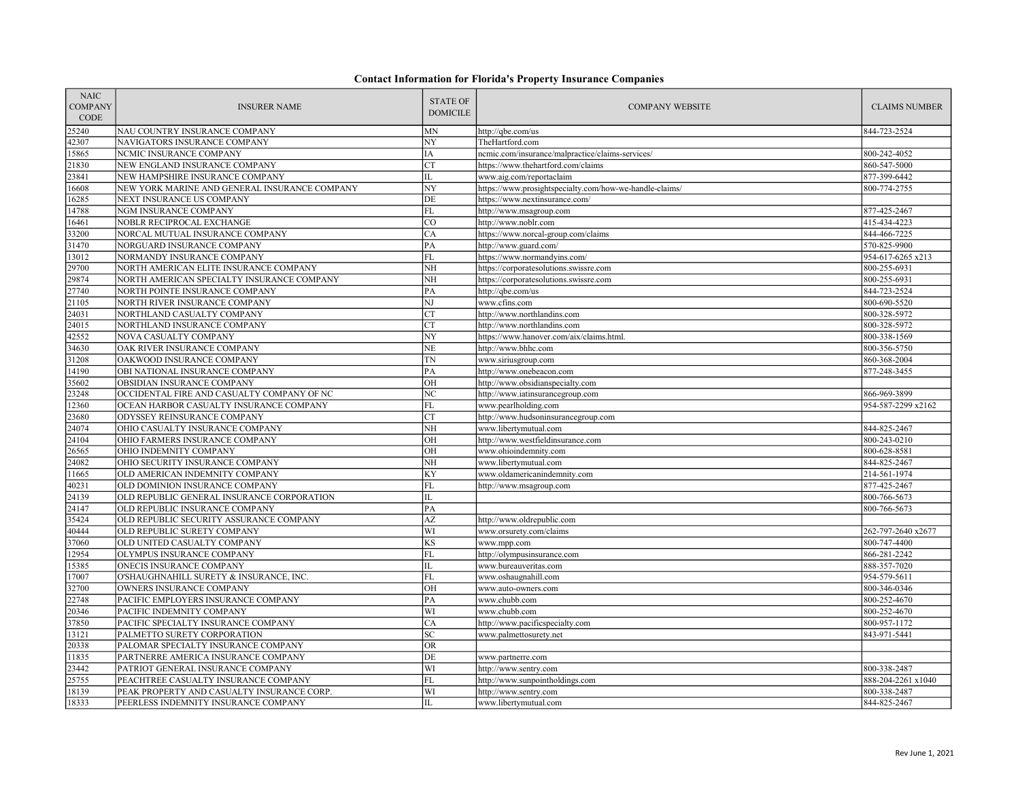| <b>NAIC</b><br><b>COMPANY</b><br>CODE | <b>INSURER NAME</b>                           | <b>STATE OF</b><br><b>DOMICILE</b> | <b>COMPANY WEBSITE</b>                                  | <b>CLAIMS NUMBER</b> |
|---------------------------------------|-----------------------------------------------|------------------------------------|---------------------------------------------------------|----------------------|
| 25240                                 | NAU COUNTRY INSURANCE COMPANY                 | MN                                 | http://qbe.com/us                                       | 844-723-2524         |
| 42307                                 | NAVIGATORS INSURANCE COMPANY                  | NY                                 | TheHartford.com                                         |                      |
| 15865                                 | NCMIC INSURANCE COMPANY                       | IΑ                                 | ncmic.com/insurance/malpractice/claims-services/        | 800-242-4052         |
| 21830                                 | NEW ENGLAND INSURANCE COMPANY                 | <b>CT</b>                          | https://www.thehartford.com/claims                      | 860-547-5000         |
| 23841                                 | NEW HAMPSHIRE INSURANCE COMPANY               | IL                                 | www.aig.com/reportaclaim                                | 877-399-6442         |
| 16608                                 | NEW YORK MARINE AND GENERAL INSURANCE COMPANY | NY                                 | https://www.prosightspecialty.com/how-we-handle-claims/ | 800-774-2755         |
| 16285                                 | NEXT INSURANCE US COMPANY                     | DE                                 | https://www.nextinsurance.com/                          |                      |
| 14788                                 | NGM INSURANCE COMPANY                         | ${\rm FL}$                         | http://www.msagroup.com                                 | 877-425-2467         |
| 16461                                 | NOBLR RECIPROCAL EXCHANGE                     | $\overline{C}O$                    | http://www.noblr.com                                    | 415-434-4223         |
| 33200                                 | NORCAL MUTUAL INSURANCE COMPANY               | CA                                 | https://www.norcal-group.com/claims                     | 844-466-7225         |
| 31470                                 | NORGUARD INSURANCE COMPANY                    | PA                                 | http://www.guard.com/                                   | 570-825-9900         |
| 13012                                 | NORMANDY INSURANCE COMPANY                    | ${\rm FL}$                         | https://www.normandyins.com/                            | 954-617-6265 x213    |
| 29700                                 | NORTH AMERICAN ELITE INSURANCE COMPANY        | NH                                 | https://corporatesolutions.swissre.com                  | 800-255-6931         |
| 29874                                 | NORTH AMERICAN SPECIALTY INSURANCE COMPANY    | NH                                 | https://corporatesolutions.swissre.com                  | 800-255-6931         |
| 27740                                 | NORTH POINTE INSURANCE COMPANY                | PA                                 | http://qbe.com/us                                       | 844-723-2524         |
| 21105                                 | NORTH RIVER INSURANCE COMPANY                 | NJ                                 | www.cfins.com                                           | 800-690-5520         |
| 24031                                 | NORTHLAND CASUALTY COMPANY                    | <b>CT</b>                          | http://www.northlandins.com                             | 800-328-5972         |
| 24015                                 | NORTHLAND INSURANCE COMPANY                   | <b>CT</b>                          | http://www.northlandins.com                             | 800-328-5972         |
| 42552                                 | NOVA CASUALTY COMPANY                         | NY                                 | https://www.hanover.com/aix/claims.html.                | 800-338-1569         |
| 34630                                 | OAK RIVER INSURANCE COMPANY                   | NE                                 | http://www.bhhc.com                                     | 800-356-5750         |
| 31208                                 | OAKWOOD INSURANCE COMPANY                     | TN                                 | www.siriusgroup.com                                     | 860-368-2004         |
| 14190                                 | OBI NATIONAL INSURANCE COMPANY                | PA                                 | http://www.onebeacon.com                                | 877-248-3455         |
| 35602                                 | OBSIDIAN INSURANCE COMPANY                    | OH                                 | http://www.obsidianspecialty.com                        |                      |
| 23248                                 | OCCIDENTAL FIRE AND CASUALTY COMPANY OF NC    | NC                                 | http://www.iatinsurancegroup.com                        | 866-969-3899         |
| 12360                                 | OCEAN HARBOR CASUALTY INSURANCE COMPANY       | ${\rm FL}$                         | www.pearlholding.com                                    | 954-587-2299 x2162   |
| 23680                                 | ODYSSEY REINSURANCE COMPANY                   | <b>CT</b>                          | http://www.hudsoninsurancegroup.com                     |                      |
| 24074                                 | OHIO CASUALTY INSURANCE COMPANY               | NH                                 | www.libertymutual.com                                   | 844-825-2467         |
| 24104                                 | OHIO FARMERS INSURANCE COMPANY                | OН                                 | http://www.westfieldinsurance.com                       | 800-243-0210         |
| 26565                                 | OHIO INDEMNITY COMPANY                        | OH                                 | www.ohioindemnity.com                                   | 800-628-8581         |
| 24082                                 | OHIO SECURITY INSURANCE COMPANY               | $\overline{\text{NH}}$             | www.libertymutual.com                                   | 844-825-2467         |
| 11665                                 | OLD AMERICAN INDEMNITY COMPANY                | KY                                 | www.oldamericanindemnity.com                            | 214-561-1974         |
| 40231                                 | OLD DOMINION INSURANCE COMPANY                | ${\rm FL}$                         | http://www.msagroup.com                                 | 877-425-2467         |
| 24139                                 | OLD REPUBLIC GENERAL INSURANCE CORPORATION    | IL                                 |                                                         | 800-766-5673         |
| 24147                                 | OLD REPUBLIC INSURANCE COMPANY                | PA                                 |                                                         | 800-766-5673         |
| 35424                                 | OLD REPUBLIC SECURITY ASSURANCE COMPANY       | AZ                                 | http://www.oldrepublic.com                              |                      |
| 40444                                 | OLD REPUBLIC SURETY COMPANY                   | WI                                 | www.orsurety.com/claims                                 | 262-797-2640 x2677   |
| 37060                                 | OLD UNITED CASUALTY COMPANY                   | KS                                 | www.mpp.com                                             | 800-747-4400         |
| 12954                                 | OLYMPUS INSURANCE COMPANY                     | FL                                 | http://olympusinsurance.com                             | 866-281-2242         |
| 15385                                 | ONECIS INSURANCE COMPANY                      | IL                                 | www.bureauveritas.com                                   | 888-357-7020         |
| 17007                                 | O'SHAUGHNAHILL SURETY & INSURANCE, INC.       | FL                                 | www.oshaugnahill.com                                    | 954-579-5611         |
| 32700                                 | OWNERS INSURANCE COMPANY                      | OH                                 | www.auto-owners.com                                     | 800-346-0346         |
| 22748                                 | PACIFIC EMPLOYERS INSURANCE COMPANY           | PA                                 | www.chubb.com                                           | 800-252-4670         |
| 20346                                 | PACIFIC INDEMNITY COMPANY                     | WI                                 | www.chubb.com                                           | 800-252-4670         |
| 37850                                 | PACIFIC SPECIALTY INSURANCE COMPANY           | CA                                 | http://www.pacificspecialty.com                         | 800-957-1172         |
| 13121                                 | PALMETTO SURETY CORPORATION                   | <b>SC</b>                          | www.palmettosurety.net                                  | 843-971-5441         |
| 20338                                 | PALOMAR SPECIALTY INSURANCE COMPANY           | OR                                 |                                                         |                      |
| 11835                                 | PARTNERRE AMERICA INSURANCE COMPANY           | DE                                 | www.partnerre.com                                       |                      |
| 23442                                 | PATRIOT GENERAL INSURANCE COMPANY             | WI                                 | http://www.sentry.com                                   | 800-338-2487         |
| 25755                                 | PEACHTREE CASUALTY INSURANCE COMPANY          | ${\rm FL}$                         | http://www.sunpointholdings.com                         | 888-204-2261 x1040   |
| 18139                                 | PEAK PROPERTY AND CASUALTY INSURANCE CORP.    | WI                                 | http://www.sentry.com                                   | 800-338-2487         |
| 18333                                 | PEERLESS INDEMNITY INSURANCE COMPANY          | IL                                 | www.libertymutual.com                                   | 844-825-2467         |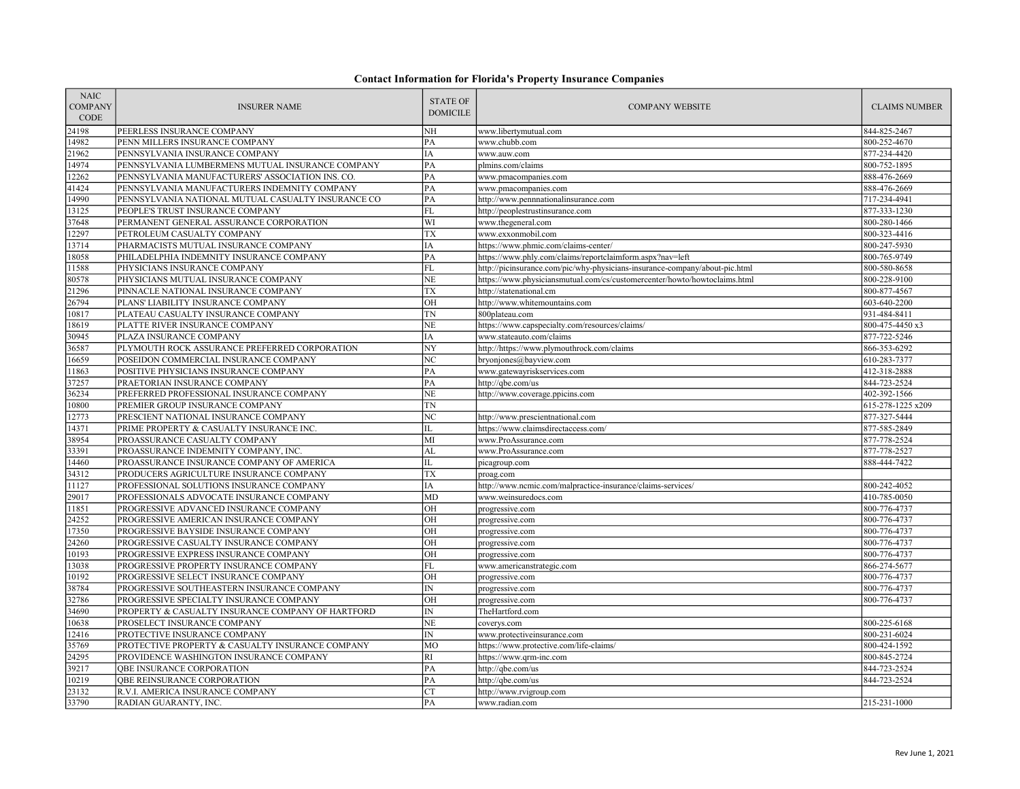| <b>NAIC</b><br><b>COMPANY</b><br>CODE | <b>INSURER NAME</b>                                | <b>STATE OF</b><br><b>DOMICILE</b> | <b>COMPANY WEBSITE</b>                                                      | <b>CLAIMS NUMBER</b> |
|---------------------------------------|----------------------------------------------------|------------------------------------|-----------------------------------------------------------------------------|----------------------|
| 24198                                 | PEERLESS INSURANCE COMPANY                         | NH                                 | www.libertymutual.com                                                       | 844-825-2467         |
| 14982                                 | PENN MILLERS INSURANCE COMPANY                     | PA                                 | www.chubb.com                                                               | 800-252-4670         |
| 21962                                 | PENNSYLVANIA INSURANCE COMPANY                     | IA                                 | www.auw.com                                                                 | 877-234-4420         |
| 14974                                 | PENNSYLVANIA LUMBERMENS MUTUAL INSURANCE COMPANY   | PA                                 | plmins.com/claims                                                           | 800-752-1895         |
| 12262                                 | PENNSYLVANIA MANUFACTURERS' ASSOCIATION INS. CO.   | PA                                 | www.pmacompanies.com                                                        | 888-476-2669         |
| 41424                                 | PENNSYLVANIA MANUFACTURERS INDEMNITY COMPANY       | PA                                 | www.pmacompanies.com                                                        | 888-476-2669         |
| 14990                                 | PENNSYLVANIA NATIONAL MUTUAL CASUALTY INSURANCE CO | PA                                 | http://www.pennnationalinsurance.com                                        | 717-234-4941         |
| 13125                                 | PEOPLE'S TRUST INSURANCE COMPANY                   | <b>FL</b>                          | http://peoplestrustinsurance.com                                            | 877-333-1230         |
| 37648                                 | PERMANENT GENERAL ASSURANCE CORPORATION            | WI                                 | www.thegeneral.com                                                          | 800-280-1466         |
| 12297                                 | PETROLEUM CASUALTY COMPANY                         | <b>TX</b>                          | www.exxonmobil.com                                                          | 800-323-4416         |
| 13714                                 | PHARMACISTS MUTUAL INSURANCE COMPANY               | IΑ                                 | https://www.phmic.com/claims-center/                                        | 800-247-5930         |
| 18058                                 | PHILADELPHIA INDEMNITY INSURANCE COMPANY           | PA                                 | https://www.phly.com/claims/reportclaimform.aspx?nav=left                   | 800-765-9749         |
| 11588                                 | PHYSICIANS INSURANCE COMPANY                       | <b>FL</b>                          | http://picinsurance.com/pic/why-physicians-insurance-company/about-pic.html | 800-580-8658         |
| 80578                                 | PHYSICIANS MUTUAL INSURANCE COMPANY                | NE                                 | https://www.physiciansmutual.com/cs/customercenter/howto/howtoclaims.html   | 800-228-9100         |
| 21296                                 | PINNACLE NATIONAL INSURANCE COMPANY                | TX                                 | http://statenational.cm                                                     | 800-877-4567         |
| 26794                                 | PLANS' LIABILITY INSURANCE COMPANY                 | OH                                 | http://www.whitemountains.com                                               | 603-640-2200         |
| 10817                                 | PLATEAU CASUALTY INSURANCE COMPANY                 | TN                                 | 800plateau.com                                                              | 931-484-8411         |
| 18619                                 | PLATTE RIVER INSURANCE COMPANY                     | <b>NE</b>                          | https://www.capspecialty.com/resources/claims/                              | 800-475-4450 x3      |
| 30945                                 | PLAZA INSURANCE COMPANY                            | IA                                 | www.stateauto.com/claims                                                    | 877-722-5246         |
| 36587                                 | PLYMOUTH ROCK ASSURANCE PREFERRED CORPORATION      | NY                                 | http://https://www.plymouthrock.com/claims                                  | 866-353-6292         |
| 16659                                 | POSEIDON COMMERCIAL INSURANCE COMPANY              | NC                                 | bryonjones@bayview.com                                                      | 610-283-7377         |
| 11863                                 | POSITIVE PHYSICIANS INSURANCE COMPANY              | PA                                 | www.gatewayriskservices.com                                                 | 412-318-2888         |
| 37257                                 | PRAETORIAN INSURANCE COMPANY                       | PA                                 | http://qbe.com/us                                                           | 844-723-2524         |
| 36234                                 | PREFERRED PROFESSIONAL INSURANCE COMPANY           | NE                                 | http://www.coverage.ppicins.com                                             | 402-392-1566         |
| 10800                                 | PREMIER GROUP INSURANCE COMPANY                    | TN                                 |                                                                             | 615-278-1225 x209    |
| 12773                                 | PRESCIENT NATIONAL INSURANCE COMPANY               | NC                                 | http://www.prescientnational.com                                            | 877-327-5444         |
| 14371                                 | PRIME PROPERTY & CASUALTY INSURANCE INC.           | IL                                 | https://www.claimsdirectaccess.com/                                         | 877-585-2849         |
| 38954                                 | PROASSURANCE CASUALTY COMPANY                      | MI                                 | www.ProAssurance.com                                                        | 877-778-2524         |
| 33391                                 | PROASSURANCE INDEMNITY COMPANY, INC.               | AL                                 | www.ProAssurance.com                                                        | 877-778-2527         |
| 14460                                 | PROASSURANCE INSURANCE COMPANY OF AMERICA          | IL                                 | picagroup.com                                                               | 888-444-7422         |
| 34312                                 | PRODUCERS AGRICULTURE INSURANCE COMPANY            | TX                                 | proag.com                                                                   |                      |
| 11127                                 | PROFESSIONAL SOLUTIONS INSURANCE COMPANY           | IA                                 | http://www.ncmic.com/malpractice-insurance/claims-services/                 | 800-242-4052         |
| 29017                                 | PROFESSIONALS ADVOCATE INSURANCE COMPANY           | MD                                 | www.weinsuredocs.com                                                        | 410-785-0050         |
| 1851                                  | PROGRESSIVE ADVANCED INSURANCE COMPANY             | $\overline{OH}$                    | progressive.com                                                             | 800-776-4737         |
| 24252                                 | PROGRESSIVE AMERICAN INSURANCE COMPANY             | OH                                 | progressive.com                                                             | 800-776-4737         |
| 17350                                 | PROGRESSIVE BAYSIDE INSURANCE COMPANY              | OH                                 | progressive.com                                                             | 800-776-4737         |
| 24260                                 | PROGRESSIVE CASUALTY INSURANCE COMPANY             | OH                                 | progressive.com                                                             | 800-776-4737         |
| 10193                                 | PROGRESSIVE EXPRESS INSURANCE COMPANY              | OH                                 | progressive.com                                                             | 800-776-4737         |
| 13038                                 | PROGRESSIVE PROPERTY INSURANCE COMPANY             | FL                                 | www.americanstrategic.com                                                   | 866-274-5677         |
| 10192                                 | PROGRESSIVE SELECT INSURANCE COMPANY               | OH                                 | progressive.com                                                             | 800-776-4737         |
| 38784                                 | PROGRESSIVE SOUTHEASTERN INSURANCE COMPANY         | $\ensuremath{\text{IN}}$           | progressive.com                                                             | 800-776-4737         |
| 32786                                 | PROGRESSIVE SPECIALTY INSURANCE COMPANY            | OH                                 | progressive.com                                                             | 800-776-4737         |
| 34690                                 | PROPERTY & CASUALTY INSURANCE COMPANY OF HARTFORD  | IN                                 | TheHartford.com                                                             |                      |
| 10638                                 | PROSELECT INSURANCE COMPANY                        | <b>NE</b>                          | coverys.com                                                                 | 800-225-6168         |
| 12416                                 | PROTECTIVE INSURANCE COMPANY                       | IN                                 | www.protectiveinsurance.com                                                 | 800-231-6024         |
| 35769                                 | PROTECTIVE PROPERTY & CASUALTY INSURANCE COMPANY   | MO                                 | https://www.protective.com/life-claims/                                     | 800-424-1592         |
| 24295                                 | PROVIDENCE WASHINGTON INSURANCE COMPANY            | <b>RI</b>                          | https://www.qrm-inc.com                                                     | 800-845-2724         |
| 39217                                 | <b>QBE INSURANCE CORPORATION</b>                   | PA                                 | http://qbe.com/us                                                           | 844-723-2524         |
| 10219                                 | QBE REINSURANCE CORPORATION                        | PA                                 | http://qbe.com/us                                                           | 844-723-2524         |
| 23132                                 | R.V.I. AMERICA INSURANCE COMPANY                   | <b>CT</b>                          | http://www.rvigroup.com                                                     |                      |
| 33790                                 | RADIAN GUARANTY, INC.                              | PA                                 | www.radian.com                                                              | 215-231-1000         |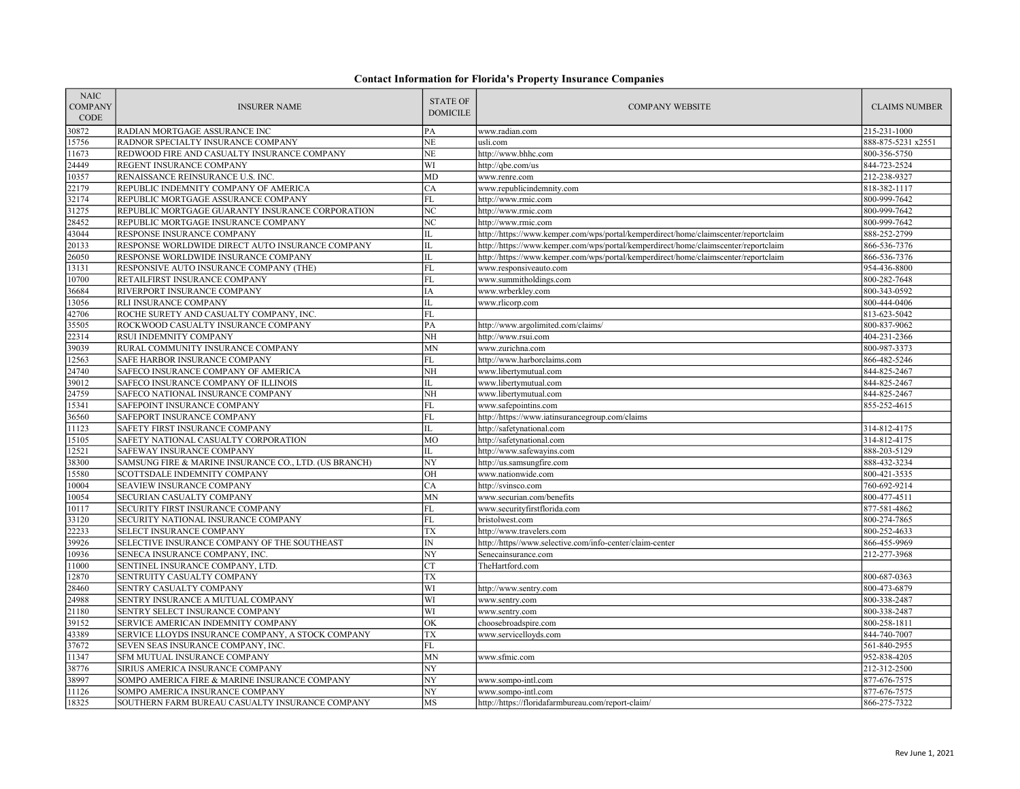| <b>NAIC</b><br><b>COMPANY</b><br>CODE | <b>INSURER NAME</b>                                   | <b>STATE OF</b><br><b>DOMICILE</b> | <b>COMPANY WEBSITE</b>                                                              | <b>CLAIMS NUMBER</b> |
|---------------------------------------|-------------------------------------------------------|------------------------------------|-------------------------------------------------------------------------------------|----------------------|
| 30872                                 | RADIAN MORTGAGE ASSURANCE INC                         | PA                                 | www.radian.com                                                                      | 215-231-1000         |
| 15756                                 | RADNOR SPECIALTY INSURANCE COMPANY                    | <b>NE</b>                          | usli.com                                                                            | 888-875-5231 x2551   |
| 11673                                 | REDWOOD FIRE AND CASUALTY INSURANCE COMPANY           | NE                                 | http://www.bhhc.com                                                                 | 800-356-5750         |
| 24449                                 | REGENT INSURANCE COMPANY                              | WI                                 | http://qbe.com/us                                                                   | 844-723-2524         |
| 10357                                 | RENAISSANCE REINSURANCE U.S. INC.                     | <b>MD</b>                          | www.renre.com                                                                       | 212-238-9327         |
| 22179                                 | REPUBLIC INDEMNITY COMPANY OF AMERICA                 | CA                                 | www.republicindemnity.com                                                           | 818-382-1117         |
| 32174                                 | REPUBLIC MORTGAGE ASSURANCE COMPANY                   | FL                                 | http://www.rmic.com                                                                 | 800-999-7642         |
| 31275                                 | REPUBLIC MORTGAGE GUARANTY INSURANCE CORPORATION      | NC                                 | http://www.rmic.com                                                                 | 800-999-7642         |
| 28452                                 | REPUBLIC MORTGAGE INSURANCE COMPANY                   | $\overline{\rm NC}$                | http://www.rmic.com                                                                 | 800-999-7642         |
| 43044                                 | RESPONSE INSURANCE COMPANY                            | IL                                 | http://https://www.kemper.com/wps/portal/kemperdirect/home/claimscenter/reportclaim | 888-252-2799         |
| 20133                                 | RESPONSE WORLDWIDE DIRECT AUTO INSURANCE COMPANY      | IL                                 | http://https://www.kemper.com/wps/portal/kemperdirect/home/claimscenter/reportclaim | 866-536-7376         |
| 26050                                 | RESPONSE WORLDWIDE INSURANCE COMPANY                  | IL                                 | http://https://www.kemper.com/wps/portal/kemperdirect/home/claimscenter/reportclaim | 866-536-7376         |
| 13131                                 | RESPONSIVE AUTO INSURANCE COMPANY (THE)               | FL                                 | www.responsiveauto.com                                                              | 954-436-8800         |
| 10700                                 | RETAILFIRST INSURANCE COMPANY                         | <b>FL</b>                          | www.summitholdings.com                                                              | 800-282-7648         |
| 36684                                 | RIVERPORT INSURANCE COMPANY                           | IA                                 | www.wrberkley.com                                                                   | 800-343-0592         |
| 13056                                 | RLI INSURANCE COMPANY                                 | IL                                 | www.rlicorp.com                                                                     | 800-444-0406         |
| 42706                                 | ROCHE SURETY AND CASUALTY COMPANY, INC.               | <b>FL</b>                          |                                                                                     | 813-623-5042         |
| 35505                                 | ROCKWOOD CASUALTY INSURANCE COMPANY                   | PA                                 | http://www.argolimited.com/claims/                                                  | 800-837-9062         |
| 22314                                 | RSUI INDEMNITY COMPANY                                | NH                                 | http://www.rsui.com                                                                 | 404-231-2366         |
| 39039                                 | RURAL COMMUNITY INSURANCE COMPANY                     | <b>MN</b>                          | www.zurichna.com                                                                    | 800-987-3373         |
| 12563                                 | SAFE HARBOR INSURANCE COMPANY                         | FL                                 | http://www.harborclaims.com                                                         | 866-482-5246         |
| 24740                                 | SAFECO INSURANCE COMPANY OF AMERICA                   | NH                                 | www.libertymutual.com                                                               | 844-825-2467         |
| 39012                                 | SAFECO INSURANCE COMPANY OF ILLINOIS                  | IL                                 | www.libertymutual.com                                                               | 844-825-2467         |
| 24759                                 | SAFECO NATIONAL INSURANCE COMPANY                     | NH                                 | www.libertymutual.com                                                               | 844-825-2467         |
| 15341                                 | SAFEPOINT INSURANCE COMPANY                           | FL                                 | www.safepointins.com                                                                | 855-252-4615         |
| 36560                                 | SAFEPORT INSURANCE COMPANY                            | <b>FL</b>                          | http://https://www.iatinsurancegroup.com/claims                                     |                      |
| 11123                                 | SAFETY FIRST INSURANCE COMPANY                        | IL                                 | http://safetynational.com                                                           | 314-812-4175         |
| 15105                                 | SAFETY NATIONAL CASUALTY CORPORATION                  | MO                                 | http://safetynational.com                                                           | 314-812-4175         |
| 12521                                 | SAFEWAY INSURANCE COMPANY                             | IL                                 | http://www.safewayins.com                                                           | 888-203-5129         |
| 38300                                 | SAMSUNG FIRE & MARINE INSURANCE CO., LTD. (US BRANCH) | NY                                 | http://us.samsungfire.com                                                           | 888-432-3234         |
| 15580                                 | SCOTTSDALE INDEMNITY COMPANY                          | OH                                 | www.nationwide.com                                                                  | 800-421-3535         |
| 10004                                 | <b>SEAVIEW INSURANCE COMPANY</b>                      | CA                                 | http://svinsco.com                                                                  | 760-692-9214         |
| 10054                                 | SECURIAN CASUALTY COMPANY                             | MN                                 | www.securian.com/benefits                                                           | 800-477-4511         |
| 10117                                 | SECURITY FIRST INSURANCE COMPANY                      | FL                                 | www.securityfirstflorida.com                                                        | 877-581-4862         |
| 33120                                 | SECURITY NATIONAL INSURANCE COMPANY                   | FL                                 | bristolwest.com                                                                     | 800-274-7865         |
| 22233                                 | SELECT INSURANCE COMPANY                              | TX                                 | http://www.travelers.com                                                            | 800-252-4633         |
| 39926                                 | SELECTIVE INSURANCE COMPANY OF THE SOUTHEAST          | $\mathbb{N}$                       | http://https//www.selective.com/info-center/claim-center                            | 866-455-9969         |
| 10936                                 | SENECA INSURANCE COMPANY, INC.                        | NY                                 | Senecainsurance.com                                                                 | 212-277-3968         |
| 11000                                 | SENTINEL INSURANCE COMPANY, LTD.                      | <b>CT</b>                          | TheHartford.com                                                                     |                      |
| 12870                                 | SENTRUITY CASUALTY COMPANY                            | TX                                 |                                                                                     | 800-687-0363         |
| 28460                                 | SENTRY CASUALTY COMPANY                               | WI                                 | http://www.sentry.com                                                               | 800-473-6879         |
| 24988                                 | SENTRY INSURANCE A MUTUAL COMPANY                     | WI                                 | www.sentry.com                                                                      | 800-338-2487         |
| 21180                                 | SENTRY SELECT INSURANCE COMPANY                       | WI                                 | www.sentry.com                                                                      | 800-338-2487         |
| 39152                                 | SERVICE AMERICAN INDEMNITY COMPANY                    | OK                                 | choosebroadspire.com                                                                | 800-258-1811         |
| 43389                                 | SERVICE LLOYDS INSURANCE COMPANY, A STOCK COMPANY     | TX                                 | www.servicelloyds.com                                                               | 844-740-7007         |
| 37672                                 | SEVEN SEAS INSURANCE COMPANY, INC.                    | FL                                 |                                                                                     | 561-840-2955         |
| 11347                                 | SFM MUTUAL INSURANCE COMPANY                          | <b>MN</b>                          | www.sfmic.com                                                                       | 952-838-4205         |
| 38776                                 | SIRIUS AMERICA INSURANCE COMPANY                      | NY                                 |                                                                                     | 212-312-2500         |
| 38997                                 | SOMPO AMERICA FIRE & MARINE INSURANCE COMPANY         | NY                                 | www.sompo-intl.com                                                                  | 877-676-7575         |
| 11126                                 | SOMPO AMERICA INSURANCE COMPANY                       | NY                                 | www.sompo-intl.com                                                                  | 877-676-7575         |
| 18325                                 | SOUTHERN FARM BUREAU CASUALTY INSURANCE COMPANY       | MS                                 | http://https://floridafarmbureau.com/report-claim/                                  | 866-275-7322         |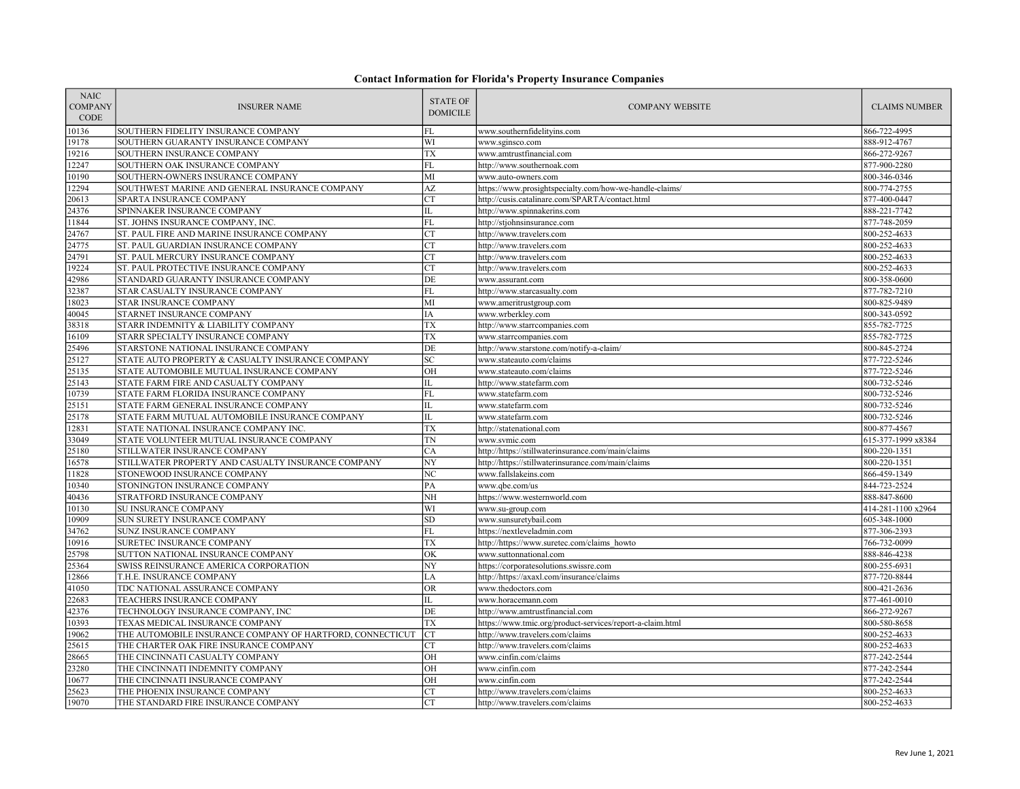| <b>NAIC</b><br><b>COMPANY</b><br><b>CODE</b> | <b>INSURER NAME</b>                                       | <b>STATE OF</b><br><b>DOMICILE</b> | <b>COMPANY WEBSITE</b>                                    | <b>CLAIMS NUMBER</b> |
|----------------------------------------------|-----------------------------------------------------------|------------------------------------|-----------------------------------------------------------|----------------------|
| 10136                                        | SOUTHERN FIDELITY INSURANCE COMPANY                       | FL                                 | www.southernfidelityins.com                               | 866-722-4995         |
| 19178                                        | SOUTHERN GUARANTY INSURANCE COMPANY                       | WI                                 | www.sginsco.com                                           | 888-912-4767         |
| 19216                                        | SOUTHERN INSURANCE COMPANY                                | <b>TX</b>                          | www.amtrustfinancial.com                                  | 866-272-9267         |
| 12247                                        | SOUTHERN OAK INSURANCE COMPANY                            | FL                                 | http://www.southernoak.com                                | 877-900-2280         |
| 10190                                        | SOUTHERN-OWNERS INSURANCE COMPANY                         | MI                                 | www.auto-owners.com                                       | 800-346-0346         |
| 12294                                        | SOUTHWEST MARINE AND GENERAL INSURANCE COMPANY            | AZ                                 | https://www.prosightspecialty.com/how-we-handle-claims/   | 800-774-2755         |
| 20613                                        | SPARTA INSURANCE COMPANY                                  | <b>CT</b>                          | http://cusis.catalinare.com/SPARTA/contact.html           | 877-400-0447         |
| 24376                                        | SPINNAKER INSURANCE COMPANY                               | IL                                 | http://www.spinnakerins.com                               | 888-221-7742         |
| 11844                                        | ST. JOHNS INSURANCE COMPANY, INC.                         | $\overline{FL}$                    | http://stjohnsinsurance.com                               | 877-748-2059         |
| 24767                                        | ST. PAUL FIRE AND MARINE INSURANCE COMPANY                | <b>CT</b>                          | http://www.travelers.com                                  | 800-252-4633         |
| 24775                                        | ST. PAUL GUARDIAN INSURANCE COMPANY                       | CT                                 | http://www.travelers.com                                  | 800-252-4633         |
| 24791                                        | ST. PAUL MERCURY INSURANCE COMPANY                        | <b>CT</b>                          | http://www.travelers.com                                  | 800-252-4633         |
| 19224                                        | ST. PAUL PROTECTIVE INSURANCE COMPANY                     | <b>CT</b>                          | http://www.travelers.com                                  | 800-252-4633         |
| 42986                                        | STANDARD GUARANTY INSURANCE COMPANY                       | DE                                 | www.assurant.com                                          | 800-358-0600         |
| 32387                                        | STAR CASUALTY INSURANCE COMPANY                           | FL                                 | http://www.starcasualty.com                               | 877-782-7210         |
| 18023                                        | STAR INSURANCE COMPANY                                    | MI                                 | www.ameritrustgroup.com                                   | 800-825-9489         |
| 40045                                        | STARNET INSURANCE COMPANY                                 | IA                                 | www.wrberkley.com                                         | 800-343-0592         |
| 38318                                        | STARR INDEMNITY & LIABILITY COMPANY                       | <b>TX</b>                          | http://www.starrcompanies.com                             | 855-782-7725         |
| 16109                                        | STARR SPECIALTY INSURANCE COMPANY                         | <b>TX</b>                          | www.starrcompanies.com                                    | 855-782-7725         |
| 25496                                        | STARSTONE NATIONAL INSURANCE COMPANY                      | DE                                 | http://www.starstone.com/notify-a-claim/                  | 800-845-2724         |
| 25127                                        | STATE AUTO PROPERTY & CASUALTY INSURANCE COMPANY          | <b>SC</b>                          | www.stateauto.com/claims                                  | 877-722-5246         |
| 25135                                        | STATE AUTOMOBILE MUTUAL INSURANCE COMPANY                 | OH                                 | www.stateauto.com/claims                                  | 877-722-5246         |
| 25143                                        | STATE FARM FIRE AND CASUALTY COMPANY                      | IL                                 | http://www.statefarm.com                                  | 800-732-5246         |
| 10739                                        | STATE FARM FLORIDA INSURANCE COMPANY                      | FL                                 | www.statefarm.com                                         | 800-732-5246         |
| 25151                                        | STATE FARM GENERAL INSURANCE COMPANY                      | IL                                 | www.statefarm.com                                         | 800-732-5246         |
| 25178                                        | STATE FARM MUTUAL AUTOMOBILE INSURANCE COMPANY            | IL                                 | www.statefarm.com                                         | 800-732-5246         |
| 12831                                        | STATE NATIONAL INSURANCE COMPANY INC                      | <b>TX</b>                          | http://statenational.com                                  | 800-877-4567         |
| 33049                                        | STATE VOLUNTEER MUTUAL INSURANCE COMPANY                  | <b>TN</b>                          | www.svmic.com                                             | 615-377-1999 x8384   |
| 25180                                        | STILLWATER INSURANCE COMPANY                              | CA                                 | http://https://stillwaterinsurance.com/main/claims        | 800-220-1351         |
| 16578                                        | STILLWATER PROPERTY AND CASUALTY INSURANCE COMPANY        | NY                                 | http://https://stillwaterinsurance.com/main/claims        | 800-220-1351         |
| 11828                                        | STONEWOOD INSURANCE COMPANY                               | NC                                 | www.fallslakeins.com                                      | 866-459-1349         |
| 10340                                        | STONINGTON INSURANCE COMPANY                              | PA                                 | www.qbe.com/us                                            | 844-723-2524         |
| 40436                                        | STRATFORD INSURANCE COMPANY                               | NH                                 | https://www.westernworld.com                              | 888-847-8600         |
| 10130                                        | SU INSURANCE COMPANY                                      | WI                                 | www.su-group.com                                          | 414-281-1100 x2964   |
| 10909                                        | SUN SURETY INSURANCE COMPANY                              | SD                                 | www.sunsuretybail.com                                     | 605-348-1000         |
| 34762                                        | SUNZ INSURANCE COMPANY                                    | FL                                 | https://nextleveladmin.com                                | 877-306-2393         |
| 10916                                        | SURETEC INSURANCE COMPANY                                 | <b>TX</b>                          | http://https://www.suretec.com/claims howto               | 766-732-0099         |
| 25798                                        | SUTTON NATIONAL INSURANCE COMPANY                         | OK                                 | www.suttonnational.com                                    | 888-846-4238         |
| 25364                                        | SWISS REINSURANCE AMERICA CORPORATION                     | NY                                 | https://corporatesolutions.swissre.com                    | 800-255-6931         |
| 12866                                        | T.H.E. INSURANCE COMPANY                                  | LA                                 | http://https://axaxl.com/insurance/claims                 | 877-720-8844         |
| 41050                                        | TDC NATIONAL ASSURANCE COMPANY                            | <b>OR</b>                          | www.thedoctors.com                                        | 800-421-2636         |
| 22683                                        | TEACHERS INSURANCE COMPANY                                | IL                                 | www.horacemann.com                                        | 877-461-0010         |
| 42376                                        | TECHNOLOGY INSURANCE COMPANY, INC                         | DE                                 | http://www.amtrustfinancial.com                           | 866-272-9267         |
| 10393                                        | TEXAS MEDICAL INSURANCE COMPANY                           | <b>TX</b>                          | https://www.tmic.org/product-services/report-a-claim.html | 800-580-8658         |
| 19062                                        | THE AUTOMOBILE INSURANCE COMPANY OF HARTFORD, CONNECTICUT | <b>CT</b>                          | http://www.travelers.com/claims                           | 800-252-4633         |
| 25615                                        | THE CHARTER OAK FIRE INSURANCE COMPANY                    | CT                                 | http://www.travelers.com/claims                           | 800-252-4633         |
| 28665                                        | THE CINCINNATI CASUALTY COMPANY                           | OH                                 | www.cinfin.com/claims                                     | 877-242-2544         |
| 23280                                        | THE CINCINNATI INDEMNITY COMPANY                          | OH                                 | www.cinfin.com                                            | 877-242-2544         |
| 10677                                        | THE CINCINNATI INSURANCE COMPANY                          | OH                                 | www.cinfin.com                                            | 877-242-2544         |
| 25623                                        | THE PHOENIX INSURANCE COMPANY                             | <b>CT</b>                          | http://www.travelers.com/claims                           | 800-252-4633         |
| 19070                                        | THE STANDARD FIRE INSURANCE COMPANY                       | CT                                 | http://www.travelers.com/claims                           | 800-252-4633         |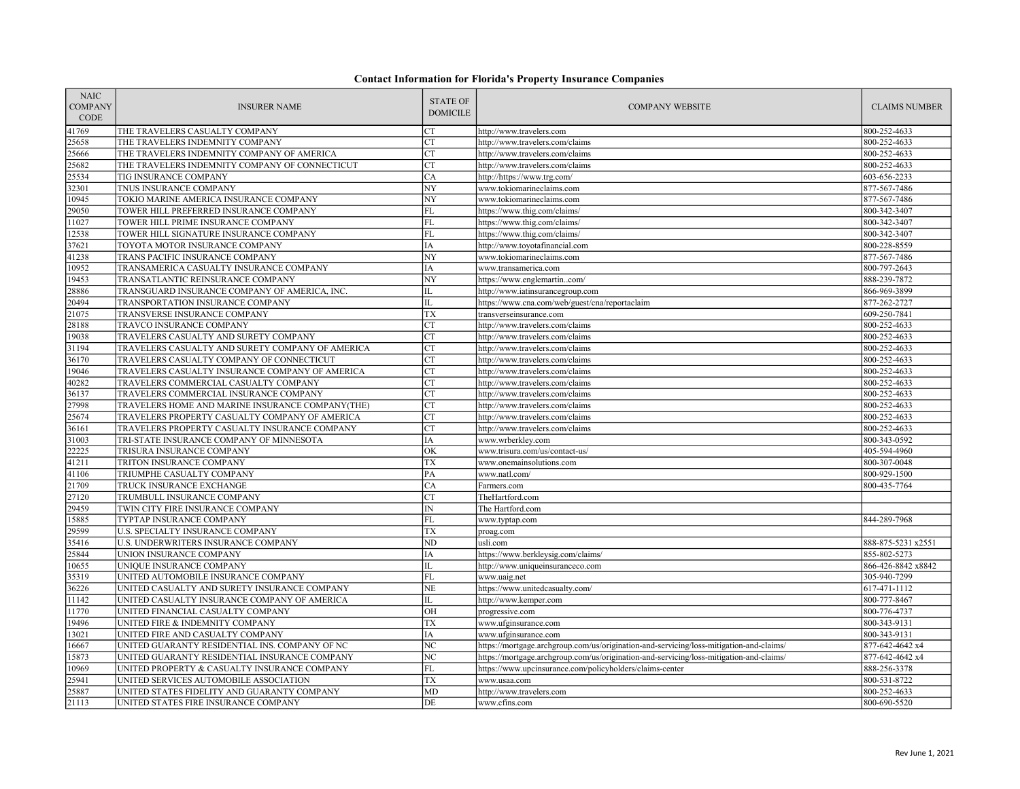| <b>NAIC</b><br><b>COMPANY</b><br><b>CODE</b> | <b>INSURER NAME</b>                              | <b>STATE OF</b><br><b>DOMICILE</b> | <b>COMPANY WEBSITE</b>                                                                  | <b>CLAIMS NUMBER</b> |
|----------------------------------------------|--------------------------------------------------|------------------------------------|-----------------------------------------------------------------------------------------|----------------------|
| 41769                                        | THE TRAVELERS CASUALTY COMPANY                   | <b>CT</b>                          | http://www.travelers.com                                                                | 800-252-4633         |
| 25658                                        | THE TRAVELERS INDEMNITY COMPANY                  | <b>CT</b>                          | http://www.travelers.com/claims                                                         | 800-252-4633         |
| 25666                                        | THE TRAVELERS INDEMNITY COMPANY OF AMERICA       | CT                                 | http://www.travelers.com/claims                                                         | 800-252-4633         |
| 25682                                        | THE TRAVELERS INDEMNITY COMPANY OF CONNECTICUT   | <b>CT</b>                          | http://www.travelers.com/claims                                                         | 800-252-4633         |
| 25534                                        | TIG INSURANCE COMPANY                            | CA                                 | http://https://www.trg.com/                                                             | 603-656-2233         |
| 32301                                        | TNUS INSURANCE COMPANY                           | NY                                 | www.tokiomarineclaims.com                                                               | 877-567-7486         |
| 10945                                        | TOKIO MARINE AMERICA INSURANCE COMPANY           | $\overline{NY}$                    | www.tokiomarineclaims.com                                                               | 877-567-7486         |
| 29050                                        | TOWER HILL PREFERRED INSURANCE COMPANY           | FL                                 | https://www.thig.com/claims/                                                            | 800-342-3407         |
| 11027                                        | TOWER HILL PRIME INSURANCE COMPANY               | <b>FL</b>                          | https://www.thig.com/claims/                                                            | 800-342-3407         |
| 12538                                        | TOWER HILL SIGNATURE INSURANCE COMPANY           | FL                                 | https://www.thig.com/claims/                                                            | 800-342-3407         |
| 37621                                        | TOYOTA MOTOR INSURANCE COMPANY                   | IA                                 | http://www.toyotafinancial.com                                                          | 800-228-8559         |
| 41238                                        | TRANS PACIFIC INSURANCE COMPANY                  | NY                                 | www.tokiomarineclaims.com                                                               | 877-567-7486         |
| 10952                                        | TRANSAMERICA CASUALTY INSURANCE COMPANY          | IA                                 | www.transamerica.com                                                                    | 800-797-2643         |
| 19453                                        | TRANSATLANTIC REINSURANCE COMPANY                | NY                                 | https://www.englemartincom/                                                             | 888-239-7872         |
| 28886                                        | TRANSGUARD INSURANCE COMPANY OF AMERICA, INC.    | IL                                 | http://www.iatinsurancegroup.com                                                        | 866-969-3899         |
| 20494                                        | TRANSPORTATION INSURANCE COMPANY                 | $\overline{\mathbf{H}}$            | https://www.cna.com/web/guest/cna/reportaclaim                                          | 877-262-2727         |
| 21075                                        | TRANSVERSE INSURANCE COMPANY                     | TX                                 | transverseinsurance.com                                                                 | 609-250-7841         |
| 28188                                        | TRAVCO INSURANCE COMPANY                         | <b>CT</b>                          | http://www.travelers.com/claims                                                         | 800-252-4633         |
| 19038                                        | TRAVELERS CASUALTY AND SURETY COMPANY            | <b>CT</b>                          | http://www.travelers.com/claims                                                         | 800-252-4633         |
| 31194                                        | TRAVELERS CASUALTY AND SURETY COMPANY OF AMERICA | CT                                 | http://www.travelers.com/claims                                                         | 800-252-4633         |
| 36170                                        | TRAVELERS CASUALTY COMPANY OF CONNECTICUT        | <b>CT</b>                          | http://www.travelers.com/claims                                                         | 800-252-4633         |
| 19046                                        | TRAVELERS CASUALTY INSURANCE COMPANY OF AMERICA  | <b>CT</b>                          | http://www.travelers.com/claims                                                         | 800-252-4633         |
| 40282                                        | TRAVELERS COMMERCIAL CASUALTY COMPANY            | <b>CT</b>                          | http://www.travelers.com/claims                                                         | 800-252-4633         |
| 36137                                        | TRAVELERS COMMERCIAL INSURANCE COMPANY           | CT                                 | http://www.travelers.com/claims                                                         | 800-252-4633         |
| 27998                                        | TRAVELERS HOME AND MARINE INSURANCE COMPANY(THE) | <b>CT</b>                          | http://www.travelers.com/claims                                                         | 800-252-4633         |
| 25674                                        | TRAVELERS PROPERTY CASUALTY COMPANY OF AMERICA   | <b>CT</b>                          | http://www.travelers.com/claims                                                         | 800-252-4633         |
| 36161                                        | TRAVELERS PROPERTY CASUALTY INSURANCE COMPANY    | CT                                 | http://www.travelers.com/claims                                                         | 800-252-4633         |
| 31003                                        | TRI-STATE INSURANCE COMPANY OF MINNESOTA         | ΙA                                 | www.wrberkley.com                                                                       | 800-343-0592         |
| 22225                                        | TRISURA INSURANCE COMPANY                        | OK                                 | www.trisura.com/us/contact-us/                                                          | 405-594-4960         |
| 41211                                        | TRITON INSURANCE COMPANY                         | TX                                 | www.onemainsolutions.com                                                                | 800-307-0048         |
| 41106                                        | TRIUMPHE CASUALTY COMPANY                        | PA                                 | www.natl.com/                                                                           | 800-929-1500         |
| 21709                                        | TRUCK INSURANCE EXCHANGE                         | CA                                 | Farmers.com                                                                             | 800-435-7764         |
| 27120                                        | TRUMBULL INSURANCE COMPANY                       | <b>CT</b>                          | TheHartford.com                                                                         |                      |
| 29459                                        | TWIN CITY FIRE INSURANCE COMPANY                 | $\ensuremath{\text{IN}}$           | The Hartford.com                                                                        |                      |
| 15885                                        | TYPTAP INSURANCE COMPANY                         | FL                                 | www.typtap.com                                                                          | 844-289-7968         |
| 29599                                        | <b>U.S. SPECIALTY INSURANCE COMPANY</b>          | <b>TX</b>                          | proag.com                                                                               |                      |
| 35416                                        | U.S. UNDERWRITERS INSURANCE COMPANY              | N <sub>D</sub>                     | usli.com                                                                                | 888-875-5231 x2551   |
| 25844                                        | UNION INSURANCE COMPANY                          | IA                                 | https://www.berkleysig.com/claims/                                                      | 855-802-5273         |
| 10655                                        | UNIQUE INSURANCE COMPANY                         | IL                                 | http://www.uniqueinsuranceco.com                                                        | 866-426-8842 x8842   |
| 35319                                        | UNITED AUTOMOBILE INSURANCE COMPANY              | <b>FL</b>                          | www.uaig.net                                                                            | 305-940-7299         |
| 36226                                        | UNITED CASUALTY AND SURETY INSURANCE COMPANY     | <b>NE</b>                          | https://www.unitedcasualty.com/                                                         | 617-471-1112         |
| 11142                                        | UNITED CASUALTY INSURANCE COMPANY OF AMERICA     | IL                                 | http://www.kemper.com                                                                   | 800-777-8467         |
| 11770                                        | UNITED FINANCIAL CASUALTY COMPANY                | OH                                 | progressive.com                                                                         | 800-776-4737         |
| 19496                                        | UNITED FIRE & INDEMNITY COMPANY                  | <b>TX</b>                          | www.ufginsurance.com                                                                    | 800-343-9131         |
| 13021                                        | UNITED FIRE AND CASUALTY COMPANY                 | IA                                 | www.ufginsurance.com                                                                    | 800-343-9131         |
| 16667                                        | UNITED GUARANTY RESIDENTIAL INS. COMPANY OF NC   | NC                                 | https://mortgage.archgroup.com/us/origination-and-servicing/loss-mitigation-and-claims/ | 877-642-4642 x4      |
| 15873                                        | UNITED GUARANTY RESIDENTIAL INSURANCE COMPANY    | $\overline{\rm NC}$                | https://mortgage.archgroup.com/us/origination-and-servicing/loss-mitigation-and-claims/ | 877-642-4642 x4      |
| 10969                                        | UNITED PROPERTY & CASUALTY INSURANCE COMPANY     | FL                                 | https://www.upcinsurance.com/policyholders/claims-center                                | 888-256-3378         |
| 25941                                        | UNITED SERVICES AUTOMOBILE ASSOCIATION           | TX                                 | www.usaa.com                                                                            | 800-531-8722         |
| 25887                                        | UNITED STATES FIDELITY AND GUARANTY COMPANY      | <b>MD</b>                          | http://www.travelers.com                                                                | 800-252-4633         |
| 21113                                        | UNITED STATES FIRE INSURANCE COMPANY             | DE                                 | www.cfins.com                                                                           | 800-690-5520         |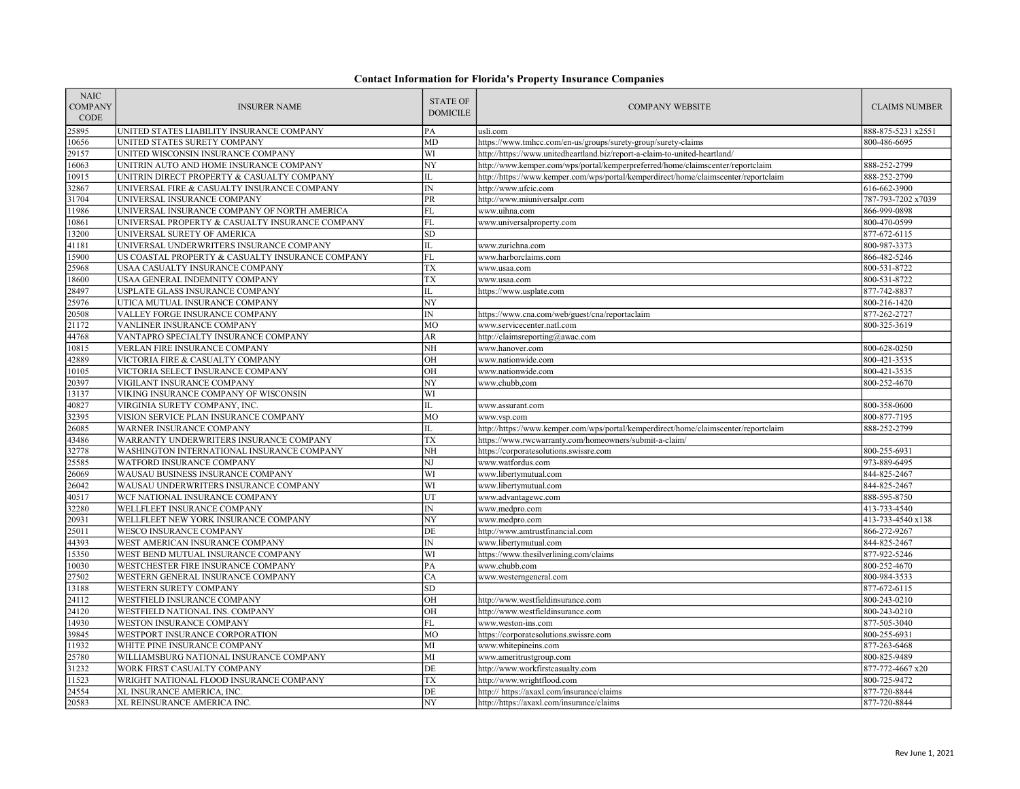| <b>NAIC</b><br><b>COMPANY</b><br><b>CODE</b> | <b>INSURER NAME</b>                                                   | <b>STATE OF</b><br><b>DOMICILE</b> | <b>COMPANY WEBSITE</b>                                                              | <b>CLAIMS NUMBER</b>         |
|----------------------------------------------|-----------------------------------------------------------------------|------------------------------------|-------------------------------------------------------------------------------------|------------------------------|
| 25895                                        | UNITED STATES LIABILITY INSURANCE COMPANY                             | PA                                 | usli.com                                                                            | 888-875-5231 x2551           |
| 10656                                        | UNITED STATES SURETY COMPANY                                          | <b>MD</b>                          | https://www.tmhcc.com/en-us/groups/surety-group/surety-claims                       | 800-486-6695                 |
| 29157                                        | UNITED WISCONSIN INSURANCE COMPANY                                    | WI                                 | http://https://www.unitedheartland.biz/report-a-claim-to-united-heartland/          |                              |
| 16063                                        | UNITRIN AUTO AND HOME INSURANCE COMPANY                               | NY                                 | http://www.kemper.com/wps/portal/kemperpreferred/home/claimscenter/reportclaim      | 888-252-2799                 |
| 10915                                        | UNITRIN DIRECT PROPERTY & CASUALTY COMPANY                            | $\overline{\mathbf{H}}$            | http://https://www.kemper.com/wps/portal/kemperdirect/home/claimscenter/reportclaim | 888-252-2799                 |
| 32867                                        | UNIVERSAL FIRE & CASUALTY INSURANCE COMPANY                           | $\mathbb{IN}$                      | http://www.ufcic.com                                                                | 616-662-3900                 |
| 31704                                        | UNIVERSAL INSURANCE COMPANY                                           | PR                                 | http://www.miuniversalpr.com                                                        | 787-793-7202 x7039           |
| 11986                                        | UNIVERSAL INSURANCE COMPANY OF NORTH AMERICA                          | FL                                 | www.uihna.com                                                                       | 866-999-0898                 |
| 10861                                        | UNIVERSAL PROPERTY & CASUALTY INSURANCE COMPANY                       | FL                                 | www.universalproperty.com                                                           | 800-470-0599                 |
| 13200                                        | UNIVERSAL SURETY OF AMERICA                                           | <b>SD</b>                          |                                                                                     | 877-672-6115                 |
| 41181                                        | UNIVERSAL UNDERWRITERS INSURANCE COMPANY                              | $\rm IL$                           | www.zurichna.com                                                                    | 800-987-3373                 |
| 15900                                        | US COASTAL PROPERTY & CASUALTY INSURANCE COMPANY                      | FL                                 | www.harborclaims.com                                                                | 866-482-5246                 |
| 25968                                        | USAA CASUALTY INSURANCE COMPANY                                       | TX                                 | www.usaa.com                                                                        | 800-531-8722                 |
| 18600                                        | USAA GENERAL INDEMNITY COMPANY                                        | TX                                 | www.usaa.com                                                                        | 800-531-8722                 |
| 28497                                        | USPLATE GLASS INSURANCE COMPANY                                       | $\rm IL$                           | https://www.usplate.com                                                             | 877-742-8837                 |
| 25976                                        | UTICA MUTUAL INSURANCE COMPANY                                        | NY                                 |                                                                                     | 800-216-1420                 |
| 20508                                        | VALLEY FORGE INSURANCE COMPANY                                        | IN                                 | https://www.cna.com/web/guest/cna/reportaclaim                                      | 877-262-2727                 |
| 21172                                        | VANLINER INSURANCE COMPANY                                            | MO                                 | www.servicecenter.natl.com                                                          | 800-325-3619                 |
| 44768                                        | VANTAPRO SPECIALTY INSURANCE COMPANY                                  | AR                                 | http://claimsreporting@awac.com                                                     |                              |
| 10815                                        | VERLAN FIRE INSURANCE COMPANY                                         | NH                                 | www.hanover.com                                                                     | 800-628-0250                 |
| 42889                                        | VICTORIA FIRE & CASUALTY COMPANY                                      | OH                                 | www.nationwide.com                                                                  | 800-421-3535                 |
| 10105                                        | VICTORIA SELECT INSURANCE COMPANY                                     | OH                                 | www.nationwide.com                                                                  | 800-421-3535                 |
| 20397                                        | VIGILANT INSURANCE COMPANY                                            | NY                                 | www.chubb,com                                                                       | 800-252-4670                 |
| 13137                                        | VIKING INSURANCE COMPANY OF WISCONSIN                                 | WI                                 |                                                                                     |                              |
| 40827                                        | VIRGINIA SURETY COMPANY, INC.                                         | IL                                 | www.assurant.com                                                                    | 800-358-0600                 |
| 32395                                        | VISION SERVICE PLAN INSURANCE COMPANY                                 | <b>MO</b>                          | www.vsp.com                                                                         | 800-877-7195                 |
| 26085                                        | WARNER INSURANCE COMPANY                                              | IL                                 | http://https://www.kemper.com/wps/portal/kemperdirect/home/claimscenter/reportclaim | 888-252-2799                 |
| 43486                                        | WARRANTY UNDERWRITERS INSURANCE COMPANY                               | TX                                 | https://www.rwcwarranty.com/homeowners/submit-a-claim/                              |                              |
| 32778                                        | WASHINGTON INTERNATIONAL INSURANCE COMPANY                            | NH                                 | https://corporatesolutions.swissre.com                                              | 800-255-6931                 |
| 25585                                        | WATFORD INSURANCE COMPANY                                             | NJ                                 | www.watfordus.com                                                                   | 973-889-6495                 |
| 26069                                        | WAUSAU BUSINESS INSURANCE COMPANY                                     | WI                                 | www.libertymutual.com                                                               | 844-825-2467                 |
| 26042                                        | WAUSAU UNDERWRITERS INSURANCE COMPANY                                 | WI                                 | www.libertymutual.com                                                               | 844-825-2467                 |
| 40517                                        | WCF NATIONAL INSURANCE COMPANY                                        | UT                                 | www.advantagewc.com                                                                 | 888-595-8750                 |
| 32280                                        | WELLFLEET INSURANCE COMPANY                                           | $\overline{\rm IN}$                | www.medpro.com                                                                      | 413-733-4540                 |
| 20931                                        | WELLFLEET NEW YORK INSURANCE COMPANY                                  | NY                                 | www.medpro.com                                                                      | 413-733-4540 x138            |
| 25011                                        | <b>WESCO INSURANCE COMPANY</b>                                        | DE                                 | http://www.amtrustfinancial.com                                                     | 866-272-9267                 |
| 44393                                        | WEST AMERICAN INSURANCE COMPANY                                       | $\mathbb{IN}$                      | www.libertymutual.com                                                               | 844-825-2467                 |
| 15350                                        | WEST BEND MUTUAL INSURANCE COMPANY                                    | WI<br>PA                           | https://www.thesilverlining.com/claims                                              | 877-922-5246                 |
| 10030                                        | WESTCHESTER FIRE INSURANCE COMPANY                                    |                                    | www.chubb.com                                                                       | 800-252-4670                 |
| 27502                                        | WESTERN GENERAL INSURANCE COMPANY                                     | CA                                 | www.westerngeneral.com                                                              | 800-984-3533                 |
| 13188                                        | WESTERN SURETY COMPANY                                                | SD<br>OH                           |                                                                                     | 877-672-6115                 |
| 24112                                        | WESTFIELD INSURANCE COMPANY                                           |                                    | http://www.westfieldinsurance.com                                                   | 800-243-0210                 |
| 24120                                        | WESTFIELD NATIONAL INS. COMPANY                                       | OH                                 | http://www.westfieldinsurance.com                                                   | 800-243-0210                 |
| 14930                                        | WESTON INSURANCE COMPANY                                              | FL                                 | www.weston-ins.com                                                                  | 877-505-3040                 |
| 39845                                        | WESTPORT INSURANCE CORPORATION                                        | MO<br>МI                           | https://corporatesolutions.swissre.com                                              | 800-255-6931                 |
| 11932<br>25780                               | WHITE PINE INSURANCE COMPANY                                          | MI                                 | www.whitepineins.com                                                                | 877-263-6468                 |
| 31232                                        | WILLIAMSBURG NATIONAL INSURANCE COMPANY                               | DE                                 | www.ameritrustgroup.com<br>http://www.workfirstcasualty.com                         | 800-825-9489                 |
| 11523                                        | WORK FIRST CASUALTY COMPANY                                           | <b>TX</b>                          |                                                                                     | 877-772-4667 x20             |
| 24554                                        | WRIGHT NATIONAL FLOOD INSURANCE COMPANY<br>XL INSURANCE AMERICA, INC. | DE                                 | http://www.wrightflood.com                                                          | 800-725-9472<br>877-720-8844 |
| 20583                                        |                                                                       | NY                                 | http:// https://axaxl.com/insurance/claims                                          | 877-720-8844                 |
|                                              | XL REINSURANCE AMERICA INC.                                           |                                    | http://https://axaxl.com/insurance/claims                                           |                              |